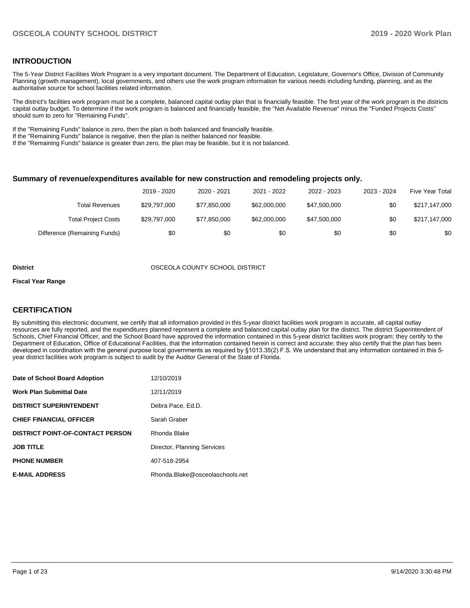#### **INTRODUCTION**

The 5-Year District Facilities Work Program is a very important document. The Department of Education, Legislature, Governor's Office, Division of Community Planning (growth management), local governments, and others use the work program information for various needs including funding, planning, and as the authoritative source for school facilities related information.

The district's facilities work program must be a complete, balanced capital outlay plan that is financially feasible. The first year of the work program is the districts capital outlay budget. To determine if the work program is balanced and financially feasible, the "Net Available Revenue" minus the "Funded Projects Costs" should sum to zero for "Remaining Funds".

If the "Remaining Funds" balance is zero, then the plan is both balanced and financially feasible.

If the "Remaining Funds" balance is negative, then the plan is neither balanced nor feasible.

If the "Remaining Funds" balance is greater than zero, the plan may be feasible, but it is not balanced.

#### **Summary of revenue/expenditures available for new construction and remodeling projects only.**

|                              | 2019 - 2020  | 2020 - 2021  | 2021 - 2022  | 2022 - 2023  | 2023 - 2024 | <b>Five Year Total</b> |
|------------------------------|--------------|--------------|--------------|--------------|-------------|------------------------|
| Total Revenues               | \$29.797.000 | \$77.850.000 | \$62,000,000 | \$47,500,000 | \$0         | \$217,147,000          |
| <b>Total Project Costs</b>   | \$29,797,000 | \$77.850.000 | \$62,000,000 | \$47,500,000 | \$0         | \$217,147,000          |
| Difference (Remaining Funds) | \$0          | \$0          | \$0          | \$0          | \$0         | \$0                    |

#### **District** OSCEOLA COUNTY SCHOOL DISTRICT

#### **Fiscal Year Range**

#### **CERTIFICATION**

By submitting this electronic document, we certify that all information provided in this 5-year district facilities work program is accurate, all capital outlay resources are fully reported, and the expenditures planned represent a complete and balanced capital outlay plan for the district. The district Superintendent of Schools, Chief Financial Officer, and the School Board have approved the information contained in this 5-year district facilities work program; they certify to the Department of Education, Office of Educational Facilities, that the information contained herein is correct and accurate; they also certify that the plan has been developed in coordination with the general purpose local governments as required by §1013.35(2) F.S. We understand that any information contained in this 5 year district facilities work program is subject to audit by the Auditor General of the State of Florida.

| Date of School Board Adoption           | 12/10/2019                      |
|-----------------------------------------|---------------------------------|
| <b>Work Plan Submittal Date</b>         | 12/11/2019                      |
| <b>DISTRICT SUPERINTENDENT</b>          | Debra Pace, Ed.D.               |
| <b>CHIEF FINANCIAL OFFICER</b>          | Sarah Graber                    |
| <b>DISTRICT POINT-OF-CONTACT PERSON</b> | Rhonda Blake                    |
| <b>JOB TITLE</b>                        | Director, Planning Services     |
| <b>PHONE NUMBER</b>                     | 407-518-2954                    |
| <b>E-MAIL ADDRESS</b>                   | Rhonda.Blake@osceolaschools.net |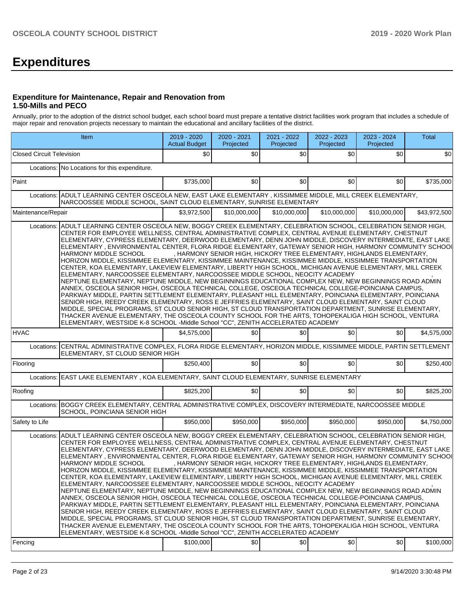# **Expenditures**

#### **Expenditure for Maintenance, Repair and Renovation from 1.50-Mills and PECO**

Annually, prior to the adoption of the district school budget, each school board must prepare a tentative district facilities work program that includes a schedule of major repair and renovation projects necessary to maintain the educational and ancillary facilities of the district.

|                                                                                                                                                            | Item                                                                                                                                                                                                                                                                                                                                                                                                                                                                                                                                                                                                                                                                                                                                                                                                                                                                                                                                                                                                                                                                                                                                                                                                                                                                                                                                                                                                                                                                                                         | 2019 - 2020<br><b>Actual Budget</b> | 2020 - 2021<br>Projected | 2021 - 2022<br>Projected | 2022 - 2023<br>Projected | 2023 - 2024<br>Projected                                              | Total        |  |  |  |
|------------------------------------------------------------------------------------------------------------------------------------------------------------|--------------------------------------------------------------------------------------------------------------------------------------------------------------------------------------------------------------------------------------------------------------------------------------------------------------------------------------------------------------------------------------------------------------------------------------------------------------------------------------------------------------------------------------------------------------------------------------------------------------------------------------------------------------------------------------------------------------------------------------------------------------------------------------------------------------------------------------------------------------------------------------------------------------------------------------------------------------------------------------------------------------------------------------------------------------------------------------------------------------------------------------------------------------------------------------------------------------------------------------------------------------------------------------------------------------------------------------------------------------------------------------------------------------------------------------------------------------------------------------------------------------|-------------------------------------|--------------------------|--------------------------|--------------------------|-----------------------------------------------------------------------|--------------|--|--|--|
| <b>Closed Circuit Television</b>                                                                                                                           |                                                                                                                                                                                                                                                                                                                                                                                                                                                                                                                                                                                                                                                                                                                                                                                                                                                                                                                                                                                                                                                                                                                                                                                                                                                                                                                                                                                                                                                                                                              | \$0                                 | \$0                      | \$0 <sub>1</sub>         | \$0                      | \$0                                                                   | \$0          |  |  |  |
|                                                                                                                                                            | Locations: No Locations for this expenditure.                                                                                                                                                                                                                                                                                                                                                                                                                                                                                                                                                                                                                                                                                                                                                                                                                                                                                                                                                                                                                                                                                                                                                                                                                                                                                                                                                                                                                                                                |                                     |                          |                          |                          |                                                                       |              |  |  |  |
| Paint                                                                                                                                                      |                                                                                                                                                                                                                                                                                                                                                                                                                                                                                                                                                                                                                                                                                                                                                                                                                                                                                                                                                                                                                                                                                                                                                                                                                                                                                                                                                                                                                                                                                                              | \$735,000                           | \$0                      | \$0                      | \$0                      | \$0                                                                   | \$735,000    |  |  |  |
|                                                                                                                                                            | Locations: ADULT LEARNING CENTER OSCEOLA NEW, EAST LAKE ELEMENTARY, KISSIMMEE MIDDLE, MILL CREEK ELEMENTARY,<br>NARCOOSSEE MIDDLE SCHOOL, SAINT CLOUD ELEMENTARY, SUNRISE ELEMENTARY                                                                                                                                                                                                                                                                                                                                                                                                                                                                                                                                                                                                                                                                                                                                                                                                                                                                                                                                                                                                                                                                                                                                                                                                                                                                                                                         |                                     |                          |                          |                          |                                                                       |              |  |  |  |
| Maintenance/Repair                                                                                                                                         |                                                                                                                                                                                                                                                                                                                                                                                                                                                                                                                                                                                                                                                                                                                                                                                                                                                                                                                                                                                                                                                                                                                                                                                                                                                                                                                                                                                                                                                                                                              | \$3,972,500                         | \$10,000,000             | \$10,000,000             | \$10,000,000             | \$10,000,000                                                          | \$43,972,500 |  |  |  |
| Locations:                                                                                                                                                 | ADULT LEARNING CENTER OSCEOLA NEW, BOGGY CREEK ELEMENTARY, CELEBRATION SCHOOL, CELEBRATION SENIOR HIGH,<br>CENTER FOR EMPLOYEE WELLNESS, CENTRAL ADMINISTRATIVE COMPLEX, CENTRAL AVENUE ELEMENTARY, CHESTNUT<br>ELEMENTARY, CYPRESS ELEMENTARY, DEERWOOD ELEMENTARY, DENN JOHN MIDDLE, DISCOVERY INTERMEDIATE, EAST LAKE<br>ELEMENTARY, ENVIRONMENTAL CENTER, FLORA RIDGE ELEMENTARY, GATEWAY SENIOR HIGH, HARMONY COMMUNITY SCHOOI<br>HARMONY MIDDLE SCHOOL<br>HORIZON MIDDLE, KISSIMMEE ELEMENTARY, KISSIMMEE MAINTENANCE, KISSIMMEE MIDDLE, KISSIMMEE TRANSPORTATION<br>CENTER, KOA ELEMENTARY, LAKEVIEW ELEMENTARY, LIBERTY HIGH SCHOOL, MICHIGAN AVENUE ELEMENTARY, MILL CREEK<br>ELEMENTARY, NARCOOSSEE ELEMENTARY, NARCOOSSEE MIDDLE SCHOOL, NEOCITY ACADEMY<br>NEPTUNE ELEMENTARY, NEPTUNE MIDDLE, NEW BEGINNINGS EDUCATIONAL COMPLEX NEW, NEW BEGINNINGS ROAD ADMIN<br>ANNEX, OSCEOLA SENIOR HIGH, OSCEOLA TECHNICAL COLLEGE, OSCEOLA TECHNICAL COLLEGE-POINCIANA CAMPUS,<br>PARKWAY MIDDLE, PARTIN SETTLEMENT ELEMENTARY, PLEASANT HILL ELEMENTARY, POINCIANA ELEMENTARY, POINCIANA<br>SENIOR HIGH, REEDY CREEK ELEMENTARY, ROSS E JEFFRIES ELEMENTARY, SAINT CLOUD ELEMENTARY, SAINT CLOUD<br>MIDDLE, SPECIAL PROGRAMS, ST CLOUD SENIOR HIGH, ST CLOUD TRANSPORTATION DEPARTMENT, SUNRISE ELEMENTARY,<br>THACKER AVENUE ELEMENTARY, THE OSCEOLA COUNTY SCHOOL FOR THE ARTS, TOHOPEKALIGA HIGH SCHOOL, VENTURA<br>ELEMENTARY, WESTSIDE K-8 SCHOOL -Middle School "CC", ZENITH ACCELERATED ACADEMY  |                                     |                          |                          |                          | , HARMONY SENIOR HIGH, HICKORY TREE ELEMENTARY, HIGHLANDS ELEMENTARY, |              |  |  |  |
| <b>HVAC</b>                                                                                                                                                |                                                                                                                                                                                                                                                                                                                                                                                                                                                                                                                                                                                                                                                                                                                                                                                                                                                                                                                                                                                                                                                                                                                                                                                                                                                                                                                                                                                                                                                                                                              | \$4,575,000                         | \$0                      | \$0                      | \$0                      | \$0                                                                   | \$4,575,000  |  |  |  |
| Locations: CENTRAL ADMINISTRATIVE COMPLEX, FLORA RIDGE ELEMENTARY, HORIZON MIDDLE, KISSIMMEE MIDDLE, PARTIN SETTLEMENT<br>ELEMENTARY, ST CLOUD SENIOR HIGH |                                                                                                                                                                                                                                                                                                                                                                                                                                                                                                                                                                                                                                                                                                                                                                                                                                                                                                                                                                                                                                                                                                                                                                                                                                                                                                                                                                                                                                                                                                              |                                     |                          |                          |                          |                                                                       |              |  |  |  |
| Flooring                                                                                                                                                   |                                                                                                                                                                                                                                                                                                                                                                                                                                                                                                                                                                                                                                                                                                                                                                                                                                                                                                                                                                                                                                                                                                                                                                                                                                                                                                                                                                                                                                                                                                              | \$250,400                           | \$0                      | \$0                      | \$0                      | \$0                                                                   | \$250,400    |  |  |  |
|                                                                                                                                                            | Locations: EAST LAKE ELEMENTARY, KOA ELEMENTARY, SAINT CLOUD ELEMENTARY, SUNRISE ELEMENTARY                                                                                                                                                                                                                                                                                                                                                                                                                                                                                                                                                                                                                                                                                                                                                                                                                                                                                                                                                                                                                                                                                                                                                                                                                                                                                                                                                                                                                  |                                     |                          |                          |                          |                                                                       |              |  |  |  |
| Roofing                                                                                                                                                    |                                                                                                                                                                                                                                                                                                                                                                                                                                                                                                                                                                                                                                                                                                                                                                                                                                                                                                                                                                                                                                                                                                                                                                                                                                                                                                                                                                                                                                                                                                              | \$825,200                           | \$0                      | \$0                      | \$0                      | \$0                                                                   | \$825,200    |  |  |  |
|                                                                                                                                                            | Locations: BOGGY CREEK ELEMENTARY, CENTRAL ADMINISTRATIVE COMPLEX, DISCOVERY INTERMEDIATE, NARCOOSSEE MIDDLE<br>SCHOOL, POINCIANA SENIOR HIGH                                                                                                                                                                                                                                                                                                                                                                                                                                                                                                                                                                                                                                                                                                                                                                                                                                                                                                                                                                                                                                                                                                                                                                                                                                                                                                                                                                |                                     |                          |                          |                          |                                                                       |              |  |  |  |
| Safety to Life                                                                                                                                             |                                                                                                                                                                                                                                                                                                                                                                                                                                                                                                                                                                                                                                                                                                                                                                                                                                                                                                                                                                                                                                                                                                                                                                                                                                                                                                                                                                                                                                                                                                              | \$950,000                           | \$950,000                | \$950,000                | \$950,000                | \$950,000                                                             | \$4,750,000  |  |  |  |
| Locations:                                                                                                                                                 | ADULT LEARNING CENTER OSCEOLA NEW. BOGGY CREEK ELEMENTARY. CELEBRATION SCHOOL. CELEBRATION SENIOR HIGH.<br>CENTER FOR EMPLOYEE WELLNESS, CENTRAL ADMINISTRATIVE COMPLEX, CENTRAL AVENUE ELEMENTARY, CHESTNUT<br>ELEMENTARY, CYPRESS ELEMENTARY, DEERWOOD ELEMENTARY, DENN JOHN MIDDLE, DISCOVERY INTERMEDIATE, EAST LAKE<br>ELEMENTARY . ENVIRONMENTAL CENTER. FLORA RIDGE ELEMENTARY. GATEWAY SENIOR HIGH. HARMONY COMMUNITY SCHOOI<br>HARMONY MIDDLE SCHOOL<br>HORIZON MIDDLE, KISSIMMEE ELEMENTARY, KISSIMMEE MAINTENANCE, KISSIMMEE MIDDLE, KISSIMMEE TRANSPORTATION<br>CENTER, KOA ELEMENTARY, LAKEVIEW ELEMENTARY, LIBERTY HIGH SCHOOL, MICHIGAN AVENUE ELEMENTARY, MILL CREEK<br>ELEMENTARY, NARCOOSSEE ELEMENTARY, NARCOOSSEE MIDDLE SCHOOL, NEOCITY ACADEMY<br>NEPTUNE ELEMENTARY, NEPTUNE MIDDLE, NEW BEGINNINGS EDUCATIONAL COMPLEX NEW, NEW BEGINNINGS ROAD ADMIN<br>ANNEX, OSCEOLA SENIOR HIGH, OSCEOLA TECHNICAL COLLEGE, OSCEOLA TECHNICAL COLLEGE-POINCIANA CAMPUS,<br>PARKWAY MIDDLE, PARTIN SETTLEMENT ELEMENTARY, PLEASANT HILL ELEMENTARY, POINCIANA ELEMENTARY, POINCIANA<br>SENIOR HIGH, REEDY CREEK ELEMENTARY, ROSS E JEFFRIES ELEMENTARY, SAINT CLOUD ELEMENTARY, SAINT CLOUD<br>MIDDLE. SPECIAL PROGRAMS. ST CLOUD SENIOR HIGH. ST CLOUD TRANSPORTATION DEPARTMENT. SUNRISE ELEMENTARY.<br>THACKER AVENUE ELEMENTARY, THE OSCEOLA COUNTY SCHOOL FOR THE ARTS, TOHOPEKALIGA HIGH SCHOOL, VENTURA<br>ELEMENTARY, WESTSIDE K-8 SCHOOL -Middle School "CC", ZENITH ACCELERATED ACADEMY |                                     |                          |                          |                          | , HARMONY SENIOR HIGH, HICKORY TREE ELEMENTARY, HIGHLANDS ELEMENTARY, |              |  |  |  |
| Fencing                                                                                                                                                    |                                                                                                                                                                                                                                                                                                                                                                                                                                                                                                                                                                                                                                                                                                                                                                                                                                                                                                                                                                                                                                                                                                                                                                                                                                                                                                                                                                                                                                                                                                              | \$100,000                           | \$0                      | \$0                      | \$0                      | \$0                                                                   | \$100,000    |  |  |  |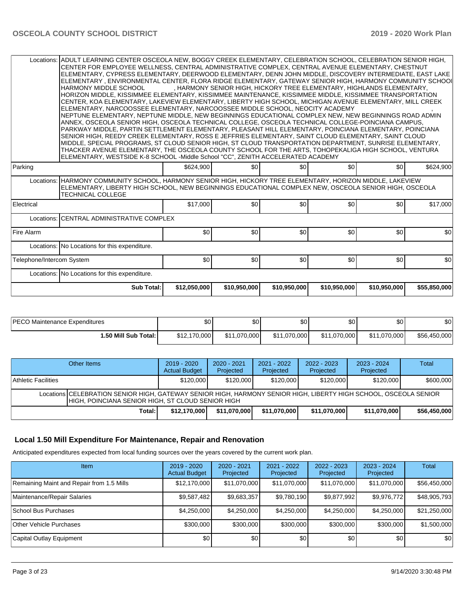| Locations:                                                                                                                                                                                                                                       | ADULT LEARNING CENTER OSCEOLA NEW, BOGGY CREEK ELEMENTARY, CELEBRATION SCHOOL, CELEBRATION SENIOR HIGH,<br>CENTER FOR EMPLOYEE WELLNESS, CENTRAL ADMINISTRATIVE COMPLEX, CENTRAL AVENUE ELEMENTARY, CHESTNUT |                  |     |                  |                  |                                                                       |           |  |  |  |  |  |
|--------------------------------------------------------------------------------------------------------------------------------------------------------------------------------------------------------------------------------------------------|--------------------------------------------------------------------------------------------------------------------------------------------------------------------------------------------------------------|------------------|-----|------------------|------------------|-----------------------------------------------------------------------|-----------|--|--|--|--|--|
|                                                                                                                                                                                                                                                  | IELEMENTARY. CYPRESS ELEMENTARY. DEERWOOD ELEMENTARY. DENN JOHN MIDDLE. DISCOVERY INTERMEDIATE. EAST LAKE                                                                                                    |                  |     |                  |                  |                                                                       |           |  |  |  |  |  |
|                                                                                                                                                                                                                                                  | ELEMENTARY , ENVIRONMENTAL CENTER, FLORA RIDGE ELEMENTARY, GATEWAY SENIOR HIGH, HARMONY COMMUNITY SCHOOI                                                                                                     |                  |     |                  |                  |                                                                       |           |  |  |  |  |  |
|                                                                                                                                                                                                                                                  | HARMONY MIDDLE SCHOOL                                                                                                                                                                                        |                  |     |                  |                  | , HARMONY SENIOR HIGH, HICKORY TREE ELEMENTARY, HIGHLANDS ELEMENTARY, |           |  |  |  |  |  |
|                                                                                                                                                                                                                                                  | HORIZON MIDDLE, KISSIMMEE ELEMENTARY, KISSIMMEE MAINTENANCE, KISSIMMEE MIDDLE, KISSIMMEE TRANSPORTATION                                                                                                      |                  |     |                  |                  |                                                                       |           |  |  |  |  |  |
|                                                                                                                                                                                                                                                  | CENTER, KOA ELEMENTARY, LAKEVIEW ELEMENTARY, LIBERTY HIGH SCHOOL, MICHIGAN AVENUE ELEMENTARY, MILL CREEK                                                                                                     |                  |     |                  |                  |                                                                       |           |  |  |  |  |  |
|                                                                                                                                                                                                                                                  | IELEMENTARY. NARCOOSSEE ELEMENTARY. NARCOOSSEE MIDDLE SCHOOL. NEOCITY ACADEMY                                                                                                                                |                  |     |                  |                  |                                                                       |           |  |  |  |  |  |
|                                                                                                                                                                                                                                                  | NEPTUNE ELEMENTARY, NEPTUNE MIDDLE, NEW BEGINNINGS EDUCATIONAL COMPLEX NEW, NEW BEGINNINGS ROAD ADMIN                                                                                                        |                  |     |                  |                  |                                                                       |           |  |  |  |  |  |
|                                                                                                                                                                                                                                                  | ANNEX, OSCEOLA SENIOR HIGH, OSCEOLA TECHNICAL COLLEGE, OSCEOLA TECHNICAL COLLEGE-POINCIANA CAMPUS,                                                                                                           |                  |     |                  |                  |                                                                       |           |  |  |  |  |  |
|                                                                                                                                                                                                                                                  | PARKWAY MIDDLE, PARTIN SETTLEMENT ELEMENTARY, PLEASANT HILL ELEMENTARY, POINCIANA ELEMENTARY, POINCIANA                                                                                                      |                  |     |                  |                  |                                                                       |           |  |  |  |  |  |
| SENIOR HIGH, REEDY CREEK ELEMENTARY, ROSS E JEFFRIES ELEMENTARY, SAINT CLOUD ELEMENTARY, SAINT CLOUD                                                                                                                                             |                                                                                                                                                                                                              |                  |     |                  |                  |                                                                       |           |  |  |  |  |  |
|                                                                                                                                                                                                                                                  | MIDDLE, SPECIAL PROGRAMS, ST CLOUD SENIOR HIGH, ST CLOUD TRANSPORTATION DEPARTMENT, SUNRISE ELEMENTARY,                                                                                                      |                  |     |                  |                  |                                                                       |           |  |  |  |  |  |
| THACKER AVENUE ELEMENTARY, THE OSCEOLA COUNTY SCHOOL FOR THE ARTS, TOHOPEKALIGA HIGH SCHOOL, VENTURA                                                                                                                                             |                                                                                                                                                                                                              |                  |     |                  |                  |                                                                       |           |  |  |  |  |  |
| ELEMENTARY, WESTSIDE K-8 SCHOOL -Middle School "CC", ZENITH ACCELERATED ACADEMY                                                                                                                                                                  |                                                                                                                                                                                                              |                  |     |                  |                  |                                                                       |           |  |  |  |  |  |
| Parking                                                                                                                                                                                                                                          |                                                                                                                                                                                                              | \$624,900        | \$0 | \$0 <sub>1</sub> | \$0 <sub>1</sub> | \$0                                                                   | \$624,900 |  |  |  |  |  |
| Locations: HARMONY COMMUNITY SCHOOL, HARMONY SENIOR HIGH, HICKORY TREE ELEMENTARY, HORIZON MIDDLE, LAKEVIEW<br>ELEMENTARY, LIBERTY HIGH SCHOOL, NEW BEGINNINGS EDUCATIONAL COMPLEX NEW, OSCEOLA SENIOR HIGH, OSCEOLA<br><b>TECHNICAL COLLEGE</b> |                                                                                                                                                                                                              |                  |     |                  |                  |                                                                       |           |  |  |  |  |  |
| Electrical                                                                                                                                                                                                                                       |                                                                                                                                                                                                              | \$17,000         | \$0 | \$0 <sub>1</sub> | \$0              | \$0                                                                   | \$17,000  |  |  |  |  |  |
| Locations:                                                                                                                                                                                                                                       | <b>CENTRAL ADMINISTRATIVE COMPLEX</b>                                                                                                                                                                        |                  |     |                  |                  |                                                                       |           |  |  |  |  |  |
| Fire Alarm                                                                                                                                                                                                                                       |                                                                                                                                                                                                              | \$0 <sub>1</sub> | \$0 | \$0 <sub>1</sub> | \$0              | \$0                                                                   | \$0       |  |  |  |  |  |
|                                                                                                                                                                                                                                                  | Locations: No Locations for this expenditure.                                                                                                                                                                |                  |     |                  |                  |                                                                       |           |  |  |  |  |  |
| Telephone/Intercom System                                                                                                                                                                                                                        |                                                                                                                                                                                                              | \$0              | \$0 | \$0 <sub>1</sub> | \$0              | \$0                                                                   | \$0       |  |  |  |  |  |
| Locations: No Locations for this expenditure.                                                                                                                                                                                                    |                                                                                                                                                                                                              |                  |     |                  |                  |                                                                       |           |  |  |  |  |  |
| Sub Total:<br>\$12,050,000<br>\$10,950,000<br>\$10,950,000<br>\$10,950,000<br>\$10,950,000<br>\$55,850,000                                                                                                                                       |                                                                                                                                                                                                              |                  |     |                  |                  |                                                                       |           |  |  |  |  |  |

| <b>IPECO Maintenance Expenditures</b> | Ψ∪           | ሖ<br>ັ⊍∪     | ድስ<br>υU     | ¢∩<br>υU     | \$0          | \$0          |
|---------------------------------------|--------------|--------------|--------------|--------------|--------------|--------------|
| 1.50 Mill Sub Total: I                | \$12.170.000 | \$11.070.000 | \$11.070.000 | \$11.070.000 | \$11.070.000 | \$56,450,000 |

| Other Items                                                                                                                                                            | $2019 - 2020$<br><b>Actual Budget</b> | $2020 - 2021$<br>Projected | 2021 - 2022<br>Projected | $2022 - 2023$<br>Projected | $2023 - 2024$<br>Projected | Total        |  |  |  |
|------------------------------------------------------------------------------------------------------------------------------------------------------------------------|---------------------------------------|----------------------------|--------------------------|----------------------------|----------------------------|--------------|--|--|--|
| Athletic Facilities                                                                                                                                                    | \$120,000                             | \$120,000                  | \$120,000                | \$120,000                  | \$120,000                  | \$600,000    |  |  |  |
| Locations CELEBRATION SENIOR HIGH, GATEWAY SENIOR HIGH, HARMONY SENIOR HIGH, LIBERTY HIGH SCHOOL, OSCEOLA SENIOR<br>IHIGH. POINCIANA SENIOR HIGH. ST CLOUD SENIOR HIGH |                                       |                            |                          |                            |                            |              |  |  |  |
| Total:                                                                                                                                                                 | \$12.170.000                          | \$11.070.000               | \$11,070,000             | \$11.070.000               | \$11,070,000               | \$56,450,000 |  |  |  |

## **Local 1.50 Mill Expenditure For Maintenance, Repair and Renovation**

Anticipated expenditures expected from local funding sources over the years covered by the current work plan.

| Item                                      | $2019 - 2020$<br><b>Actual Budget</b> | $2020 - 2021$<br>Projected | 2021 - 2022<br>Projected | $2022 - 2023$<br>Projected | $2023 - 2024$<br>Projected | <b>Total</b> |
|-------------------------------------------|---------------------------------------|----------------------------|--------------------------|----------------------------|----------------------------|--------------|
| Remaining Maint and Repair from 1.5 Mills | \$12,170,000                          | \$11,070,000               | \$11,070,000             | \$11,070,000               | \$11,070,000               | \$56,450,000 |
| Maintenance/Repair Salaries               | \$9,587,482                           | \$9,683,357                | \$9,780,190              | \$9,877,992                | \$9,976,772                | \$48,905,793 |
| School Bus Purchases                      | \$4,250,000                           | \$4,250,000                | \$4,250,000              | \$4,250,000                | \$4.250.000                | \$21,250,000 |
| Other Vehicle Purchases                   | \$300,000                             | \$300,000                  | \$300,000                | \$300,000                  | \$300,000                  | \$1,500,000  |
| Capital Outlay Equipment                  | \$0                                   | \$0 <sub>1</sub>           | \$0                      | \$0                        | \$0                        | \$0          |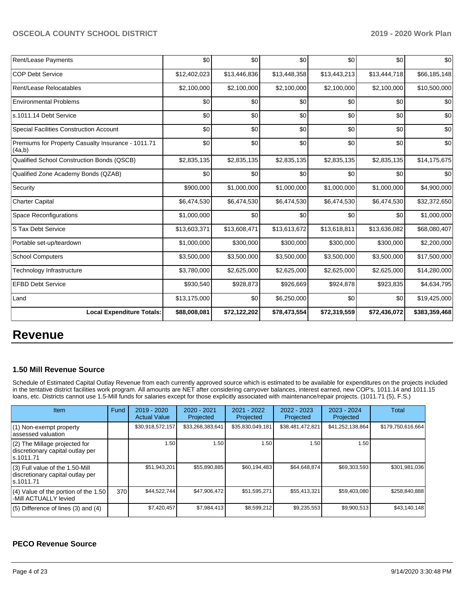| Rent/Lease Payments                                          | \$0          | \$0          | \$0          | \$0          | \$0          | \$0           |
|--------------------------------------------------------------|--------------|--------------|--------------|--------------|--------------|---------------|
| COP Debt Service                                             | \$12,402,023 | \$13,446,836 | \$13,448,358 | \$13,443,213 | \$13,444,718 | \$66,185,148  |
| Rent/Lease Relocatables                                      | \$2,100,000  | \$2,100,000  | \$2,100,000  | \$2,100,000  | \$2,100,000  | \$10,500,000  |
| <b>Environmental Problems</b>                                | \$0          | \$0          | \$0          | \$0          | \$0          | \$0           |
| s.1011.14 Debt Service                                       | \$0          | \$0          | \$0          | \$0          | \$0          | \$0           |
| Special Facilities Construction Account                      | \$0          | \$0          | \$0          | \$0          | \$0          | \$0           |
| Premiums for Property Casualty Insurance - 1011.71<br>(4a,b) | \$0          | \$0          | \$0          | \$0          | \$0          | \$0           |
| Qualified School Construction Bonds (QSCB)                   | \$2,835,135  | \$2,835,135  | \$2,835,135  | \$2,835,135  | \$2,835,135  | \$14,175,675  |
| Qualified Zone Academy Bonds (QZAB)                          | \$0          | \$0          | \$0          | \$0          | \$0          | \$0           |
| Security                                                     | \$900,000    | \$1,000,000  | \$1,000,000  | \$1,000,000  | \$1,000,000  | \$4,900,000   |
| Charter Capital                                              | \$6,474,530  | \$6,474,530  | \$6,474,530  | \$6,474,530  | \$6,474,530  | \$32,372,650  |
| <b>Space Reconfigurations</b>                                | \$1,000,000  | \$0          | \$0          | \$0          | \$0          | \$1,000,000   |
| S Tax Debt Service                                           | \$13,603,371 | \$13,608,471 | \$13,613,672 | \$13,618,811 | \$13,636,082 | \$68,080,407  |
| Portable set-up/teardown                                     | \$1,000,000  | \$300,000    | \$300,000    | \$300,000    | \$300,000    | \$2,200,000   |
| <b>School Computers</b>                                      | \$3,500,000  | \$3,500,000  | \$3,500,000  | \$3,500,000  | \$3,500,000  | \$17,500,000  |
| Technology Infrastructure                                    | \$3,780,000  | \$2,625,000  | \$2,625,000  | \$2,625,000  | \$2,625,000  | \$14,280,000  |
| <b>EFBD Debt Service</b>                                     | \$930,540    | \$928,873    | \$926,669    | \$924,878    | \$923,835    | \$4,634,795   |
| Land                                                         | \$13,175,000 | \$0          | \$6,250,000  | \$0          | \$0          | \$19,425,000  |
| <b>Local Expenditure Totals:</b>                             | \$88,008,081 | \$72,122,202 | \$78,473,554 | \$72,319,559 | \$72,436,072 | \$383,359,468 |

# **Revenue**

#### **1.50 Mill Revenue Source**

Schedule of Estimated Capital Outlay Revenue from each currently approved source which is estimated to be available for expenditures on the projects included in the tentative district facilities work program. All amounts are NET after considering carryover balances, interest earned, new COP's, 1011.14 and 1011.15 loans, etc. Districts cannot use 1.5-Mill funds for salaries except for those explicitly associated with maintenance/repair projects. (1011.71 (5), F.S.)

| Item                                                                                | Fund | $2019 - 2020$<br><b>Actual Value</b> | $2020 - 2021$<br>Projected | 2021 - 2022<br>Projected | $2022 - 2023$<br>Projected | $2023 - 2024$<br>Projected | Total             |
|-------------------------------------------------------------------------------------|------|--------------------------------------|----------------------------|--------------------------|----------------------------|----------------------------|-------------------|
| (1) Non-exempt property<br>lassessed valuation                                      |      | \$30,918,572,157                     | \$33,268,383,641           | \$35,830,049,181         | \$38,481,472,821           | \$41,252,138,864           | \$179,750,616,664 |
| $(2)$ The Millage projected for<br>discretionary capital outlay per<br>ls.1011.71   |      | 1.50                                 | .50 <sub>1</sub>           | 1.50                     | 1.50                       | 1.50                       |                   |
| $(3)$ Full value of the 1.50-Mill<br>discretionary capital outlay per<br>ls.1011.71 |      | \$51,943,201                         | \$55,890,885               | \$60,194,483             | \$64.648.874               | \$69.303.593               | \$301,981,036     |
| $(4)$ Value of the portion of the 1.50<br>-Mill ACTUALLY levied                     | 370  | \$44,522,744                         | \$47,906,472               | \$51,595,271             | \$55.413.321               | \$59,403,080               | \$258.840.888     |
| $(5)$ Difference of lines $(3)$ and $(4)$                                           |      | \$7,420,457                          | \$7,984,413                | \$8,599,212              | \$9,235,553                | \$9,900,513                | \$43,140,148      |

#### **PECO Revenue Source**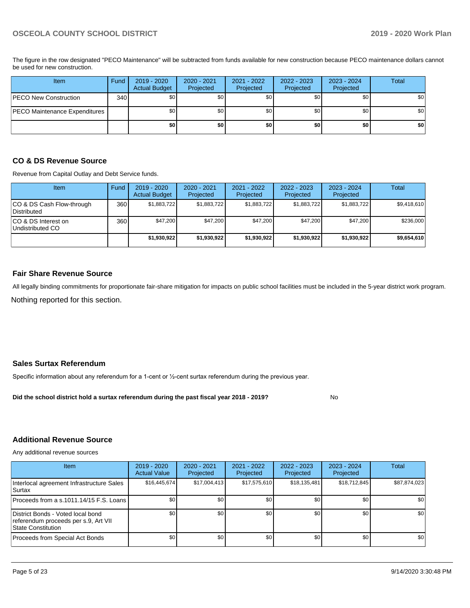The figure in the row designated "PECO Maintenance" will be subtracted from funds available for new construction because PECO maintenance dollars cannot be used for new construction.

| Item                          | Fund             | $2019 - 2020$<br><b>Actual Budget</b> | 2020 - 2021<br>Projected | 2021 - 2022<br>Projected | 2022 - 2023<br>Projected | 2023 - 2024<br>Projected | Total |
|-------------------------------|------------------|---------------------------------------|--------------------------|--------------------------|--------------------------|--------------------------|-------|
| PECO New Construction         | 340 <sup>1</sup> | \$0                                   | \$0                      | \$0                      | \$0 <sub>1</sub>         | \$0                      | \$0   |
| PECO Maintenance Expenditures |                  | \$0                                   | \$0                      | \$0                      | \$0 <sub>1</sub>         | \$0                      | \$0   |
|                               |                  | \$0                                   | \$0                      | \$0                      | \$0                      | \$0                      | \$0   |

#### **CO & DS Revenue Source**

Revenue from Capital Outlay and Debt Service funds.

| <b>Item</b>                               | Fund | $2019 - 2020$<br><b>Actual Budget</b> | $2020 - 2021$<br>Projected | 2021 - 2022<br>Projected | $2022 - 2023$<br>Projected | $2023 - 2024$<br>Projected | Total       |
|-------------------------------------------|------|---------------------------------------|----------------------------|--------------------------|----------------------------|----------------------------|-------------|
| ICO & DS Cash Flow-through<br>Distributed | 360  | \$1,883,722                           | \$1,883,722                | \$1,883,722              | \$1,883,722                | \$1,883,722                | \$9,418,610 |
| ICO & DS Interest on<br>Undistributed CO  | 360  | \$47.200                              | \$47,200                   | \$47,200                 | \$47.200                   | \$47,200                   | \$236,000   |
|                                           |      | \$1,930,922                           | \$1,930,922                | \$1,930,922              | \$1,930,922                | \$1,930,922                | \$9,654,610 |

#### **Fair Share Revenue Source**

Nothing reported for this section. All legally binding commitments for proportionate fair-share mitigation for impacts on public school facilities must be included in the 5-year district work program.

#### **Sales Surtax Referendum**

Specific information about any referendum for a 1-cent or ½-cent surtax referendum during the previous year.

**Did the school district hold a surtax referendum during the past fiscal year 2018 - 2019?**

#### **Additional Revenue Source**

Any additional revenue sources

| <b>Item</b>                                                                                     | $2019 - 2020$<br><b>Actual Value</b> | 2020 - 2021<br>Projected | 2021 - 2022<br>Projected | $2022 - 2023$<br>Projected | 2023 - 2024<br>Projected | Total        |
|-------------------------------------------------------------------------------------------------|--------------------------------------|--------------------------|--------------------------|----------------------------|--------------------------|--------------|
| Interlocal agreement Infrastructure Sales<br>lSurtax                                            | \$16,445,674                         | \$17,004,413             | \$17,575,610             | \$18,135,481               | \$18,712,845             | \$87,874,023 |
| Proceeds from a s.1011.14/15 F.S. Loans I                                                       | \$0                                  | \$0 <sub>1</sub>         | \$0                      | \$0                        | \$0                      | \$0          |
| District Bonds - Voted local bond<br>referendum proceeds per s.9, Art VII<br>State Constitution | \$0 <sub>1</sub>                     | \$0 <sub>1</sub>         | \$0                      | \$0                        | \$0                      | \$0          |
| Proceeds from Special Act Bonds                                                                 | \$0                                  | \$0                      | \$0                      | \$0                        | \$0                      | \$0          |

No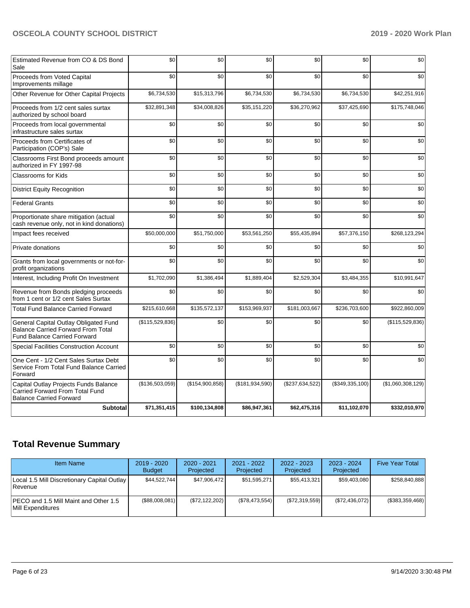| <b>Subtotal</b>                                                                                                           | \$71,351,415    | \$100,134,808   | \$86,947,361    | \$62,475,316    | \$11,102,070    | \$332,010,970     |
|---------------------------------------------------------------------------------------------------------------------------|-----------------|-----------------|-----------------|-----------------|-----------------|-------------------|
| Capital Outlay Projects Funds Balance<br>Carried Forward From Total Fund<br><b>Balance Carried Forward</b>                | (\$136,503,059) | (\$154,900,858) | (\$181,934,590) | (\$237,634,522) | (\$349,335,100) | (\$1,060,308,129) |
| One Cent - 1/2 Cent Sales Surtax Debt<br>Service From Total Fund Balance Carried<br>Forward                               | \$0             | \$0             | \$0             | \$0             | \$0             | \$0               |
| <b>Special Facilities Construction Account</b>                                                                            | \$0             | \$0             | \$0             | \$0             | \$0             | \$0               |
| General Capital Outlay Obligated Fund<br><b>Balance Carried Forward From Total</b><br><b>Fund Balance Carried Forward</b> | (\$115,529,836) | \$0             | \$0             | \$0             | \$0             | (\$115,529,836)   |
| <b>Total Fund Balance Carried Forward</b>                                                                                 | \$215,610,668   | \$135,572,137   | \$153,969,937   | \$181,003,667   | \$236,703,600   | \$922,860,009     |
| Revenue from Bonds pledging proceeds<br>from 1 cent or 1/2 cent Sales Surtax                                              | \$0             | \$0             | \$0             | \$0             | \$0             | \$0               |
| Interest, Including Profit On Investment                                                                                  | \$1,702,090     | \$1,386,494     | \$1,889,404     | \$2,529,304     | \$3,484,355     | \$10,991,647      |
| Grants from local governments or not-for-<br>profit organizations                                                         | \$0             | \$0             | \$0             | \$0             | \$0             | \$0               |
| Private donations                                                                                                         | \$0             | \$0             | \$0             | \$0             | \$0             | \$0               |
| Impact fees received                                                                                                      | \$50,000,000    | \$51,750,000    | \$53,561,250    | \$55,435,894    | \$57,376,150    | \$268,123,294     |
| Proportionate share mitigation (actual<br>cash revenue only, not in kind donations)                                       | \$0             | \$0             | \$0             | \$0             | \$0             | \$0               |
| <b>Federal Grants</b>                                                                                                     | \$0             | \$0             | \$0             | \$0             | \$0             | \$0               |
| <b>District Equity Recognition</b>                                                                                        | \$0             | \$0             | \$0             | \$0             | \$0             | \$0               |
| <b>Classrooms for Kids</b>                                                                                                | \$0             | \$0             | \$0             | \$0             | \$0             | \$0               |
| Classrooms First Bond proceeds amount<br>authorized in FY 1997-98                                                         | \$0             | \$0             | \$0             | \$0             | \$0             | \$0               |
| Proceeds from Certificates of<br>Participation (COP's) Sale                                                               | \$0             | \$0             | \$0             | \$0             | \$0             | \$0               |
| Proceeds from local governmental<br>infrastructure sales surtax                                                           | \$0             | \$0             | \$0             | \$0             | \$0             | \$0               |
| Proceeds from 1/2 cent sales surtax<br>authorized by school board                                                         | \$32,891,348    | \$34,008,826    | \$35,151,220    | \$36,270,962    | \$37,425,690    | \$175,748,046     |
| Other Revenue for Other Capital Projects                                                                                  | \$6,734,530     | \$15,313,796    | \$6,734,530     | \$6,734,530     | \$6,734,530     | \$42,251,916      |
| Proceeds from Voted Capital<br>Improvements millage                                                                       | \$0             | \$0             | \$0             | \$0             | \$0             | \$0               |
| Estimated Revenue from CO & DS Bond<br>Sale                                                                               | \$0             | \$0             | \$0             | \$0             | \$0             | \$0               |

# **Total Revenue Summary**

| <b>Item Name</b>                                                   | $2019 - 2020$<br><b>Budget</b> | $2020 - 2021$<br>Projected | $2021 - 2022$<br><b>Projected</b> | $2022 - 2023$<br>Projected | $2023 - 2024$<br>Projected | <b>Five Year Total</b> |
|--------------------------------------------------------------------|--------------------------------|----------------------------|-----------------------------------|----------------------------|----------------------------|------------------------|
| Local 1.5 Mill Discretionary Capital Outlay<br><b>Revenue</b>      | \$44,522,744                   | \$47,906,472               | \$51,595,271                      | \$55,413,321               | \$59,403,080               | \$258.840.888          |
| <b>IPECO and 1.5 Mill Maint and Other 1.5</b><br>Mill Expenditures | (S88,008,081)                  | (\$72,122,202)             | (\$78,473,554)                    | (S72, 319, 559)            | (S72, 436, 072)            | (\$383,359,468)        |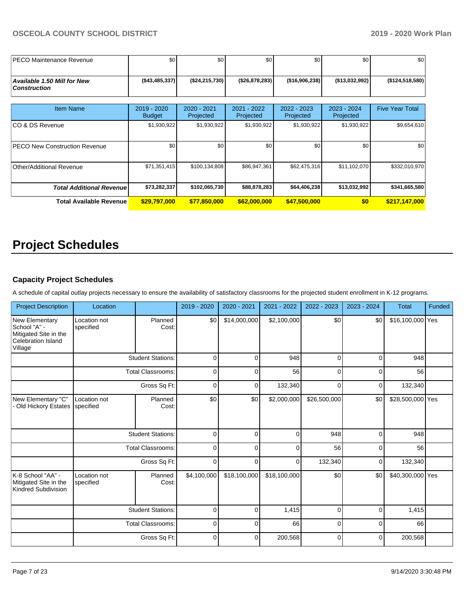| <b>IPECO Maintenance Revenue</b>                          | \$0                          | \$0                      | \$0                      | \$0                        | \$0                        | \$0                    |
|-----------------------------------------------------------|------------------------------|--------------------------|--------------------------|----------------------------|----------------------------|------------------------|
|                                                           |                              |                          |                          |                            |                            |                        |
| <b>Available 1.50 Mill for New</b><br><b>Construction</b> | ( \$43,485,337)              | (\$24, 215, 730)         | (\$26,878,283)           | (\$16,906,238)             | (\$13,032,992)             | (\$124,518,580)        |
|                                                           |                              |                          |                          |                            |                            |                        |
| <b>Item Name</b>                                          | 2019 - 2020<br><b>Budget</b> | 2020 - 2021<br>Projected | 2021 - 2022<br>Projected | $2022 - 2023$<br>Projected | $2023 - 2024$<br>Projected | <b>Five Year Total</b> |
| ICO & DS Revenue                                          | \$1,930,922                  | \$1,930,922              | \$1,930,922              | \$1,930,922                | \$1,930,922                | \$9,654,610            |
| <b>PECO New Construction Revenue</b>                      | \$0                          | \$0                      | \$0                      | \$0                        | \$0                        | \$0                    |
| Other/Additional Revenue                                  | \$71,351,415                 | \$100,134,808            | \$86,947,361             | \$62,475,316               | \$11,102,070               | \$332,010,970          |
| <b>Total Additional Revenue</b>                           | \$73,282,337                 | \$102,065,730            | \$88,878,283             | \$64,406,238               | \$13,032,992               | \$341,665,580          |
| Total Available Revenue                                   | \$29,797,000                 | \$77,850,000             | \$62,000,000             | \$47,500,000               | \$0                        | \$217,147,000          |

# **Project Schedules**

#### **Capacity Project Schedules**

A schedule of capital outlay projects necessary to ensure the availability of satisfactory classrooms for the projected student enrollment in K-12 programs.

| <b>Project Description</b>                                                                      | Location                  |                          | 2019 - 2020 | 2020 - 2021    | 2021 - 2022  | 2022 - 2023  | 2023 - 2024 | <b>Total</b>     | Funded |
|-------------------------------------------------------------------------------------------------|---------------------------|--------------------------|-------------|----------------|--------------|--------------|-------------|------------------|--------|
| <b>New Elementary</b><br>School "A" -<br>Mitigated Site in the<br>Celebration Island<br>Village | Location not<br>specified | Planned<br>Cost:         | \$0         | \$14,000,000   | \$2,100,000  | \$0          | \$0         | \$16,100,000 Yes |        |
|                                                                                                 |                           | <b>Student Stations:</b> | 0           | $\Omega$       | 948          | $\Omega$     | $\Omega$    | 948              |        |
|                                                                                                 |                           | <b>Total Classrooms:</b> | 0           | 0              | 56           | 0            | $\mathbf 0$ | 56               |        |
|                                                                                                 |                           | Gross Sq Ft:             | 0           | 0              | 132,340      | $\mathbf 0$  | 0           | 132,340          |        |
| New Elementary "C"<br>Old Hickory Estates                                                       | Location not<br>specified | Planned<br>Cost:         | \$0         | \$0            | \$2,000,000  | \$26,500,000 | \$0         | \$28,500,000 Yes |        |
|                                                                                                 |                           | <b>Student Stations:</b> | $\mathbf 0$ | $\Omega$       | $\Omega$     | 948          | 0           | 948              |        |
|                                                                                                 |                           | <b>Total Classrooms:</b> | 0           | $\Omega$       | 0            | 56           | $\mathbf 0$ | 56               |        |
|                                                                                                 |                           | Gross Sq Ft:             | 0           | $\overline{0}$ | 0            | 132,340      | $\mathbf 0$ | 132,340          |        |
| K-8 School "AA" -<br>Mitigated Site in the<br>Kindred Subdivision                               | Location not<br>specified | Planned<br>Cost:         | \$4,100,000 | \$18,100,000   | \$18,100,000 | \$0          | \$0         | \$40,300,000 Yes |        |
|                                                                                                 |                           | <b>Student Stations:</b> | $\mathbf 0$ | 0              | 1,415        | $\mathbf 0$  | $\mathbf 0$ | 1,415            |        |
|                                                                                                 |                           | <b>Total Classrooms:</b> | 0           | 0              | 66           | 0            | 0           | 66               |        |
|                                                                                                 |                           | Gross Sq Ft:             | 0           | 0              | 200,568      | 0            | $\mathbf 0$ | 200,568          |        |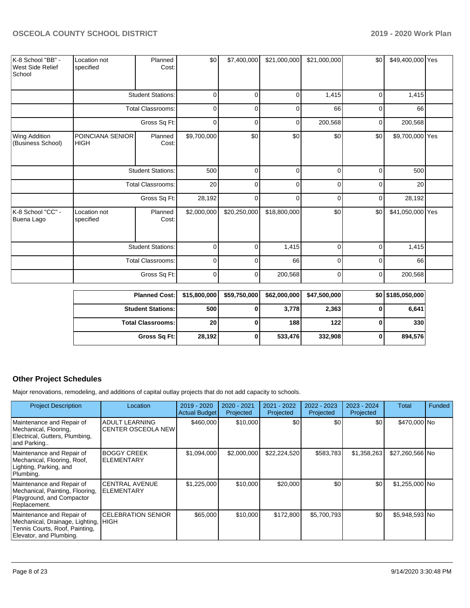| K-8 School "BB" -<br>West Side Relief<br>School | Location not<br>specified       | Planned<br>Cost:         | \$0         | \$7,400,000  | \$21,000,000 | \$21,000,000 | \$0      | \$49,400,000 Yes |  |
|-------------------------------------------------|---------------------------------|--------------------------|-------------|--------------|--------------|--------------|----------|------------------|--|
|                                                 |                                 | <b>Student Stations:</b> | $\Omega$    | $\Omega$     | $\mathbf 0$  | 1,415        | 0        | 1,415            |  |
|                                                 |                                 | <b>Total Classrooms:</b> | $\Omega$    | $\Omega$     | $\Omega$     | 66           | $\Omega$ | 66               |  |
|                                                 |                                 | Gross Sq Ft:             | $\mathbf 0$ | 0            | 0            | 200,568      | 0        | 200,568          |  |
| Wing Addition<br>(Business School)              | POINCIANA SENIOR<br><b>HIGH</b> | Planned<br>Cost:         | \$9,700,000 | \$0          | \$0          | \$0          | \$0      | \$9,700,000 Yes  |  |
|                                                 |                                 | <b>Student Stations:</b> | 500         | $\Omega$     | $\mathbf 0$  | 0            | $\Omega$ | 500              |  |
|                                                 |                                 | <b>Total Classrooms:</b> | 20          | $\Omega$     | 0            | $\Omega$     | $\Omega$ | 20               |  |
|                                                 |                                 | Gross Sq Ft:             | 28,192      | $\Omega$     | $\mathbf 0$  | $\Omega$     | $\Omega$ | 28,192           |  |
| K-8 School "CC" -<br>Buena Lago                 | Location not<br>specified       | Planned<br>Cost:         | \$2,000,000 | \$20,250,000 | \$18,800,000 | \$0          | \$0      | \$41,050,000 Yes |  |
|                                                 |                                 | <b>Student Stations:</b> | $\Omega$    | $\Omega$     | 1,415        | $\Omega$     | $\Omega$ | 1,415            |  |
|                                                 |                                 | <b>Total Classrooms:</b> | $\mathbf 0$ | $\Omega$     | 66           | 0            | $\Omega$ | 66               |  |
|                                                 |                                 | Gross Sq Ft:             | $\mathbf 0$ | 0            | 200,568      | 0            | 0        | 200,568          |  |

| <b>Planned Cost:</b>       | \$15,800,000    | \$59,750,000 | \$62,000,000 | \$47,500,000 | \$0 \$185,050,000 |
|----------------------------|-----------------|--------------|--------------|--------------|-------------------|
| <b>Student Stations: I</b> | 500             |              | 3,778        | 2,363        | 6,641             |
| <b>Total Classrooms: I</b> | 20 <sub>1</sub> |              | 188          | 122          | 330               |
| Gross Sq Ft:               | 28,192          |              | 533,476      | 332,908      | 894,576           |

# **Other Project Schedules**

Major renovations, remodeling, and additions of capital outlay projects that do not add capacity to schools.

| <b>Project Description</b>                                                                                                     | Location                                           | 2019 - 2020<br><b>Actual Budget</b> | 2020 - 2021<br>Projected | 2021 - 2022<br>Projected | 2022 - 2023<br>Projected | 2023 - 2024<br>Projected | Total           | Funded |
|--------------------------------------------------------------------------------------------------------------------------------|----------------------------------------------------|-------------------------------------|--------------------------|--------------------------|--------------------------|--------------------------|-----------------|--------|
| Maintenance and Repair of<br>Mechanical, Flooring,<br>Electrical, Gutters, Plumbing,<br>and Parking                            | <b>ADULT LEARNING</b><br><b>CENTER OSCEOLA NEW</b> | \$460,000                           | \$10,000                 | <b>\$01</b>              | \$0                      | \$0 <sub>1</sub>         | \$470,000 No    |        |
| Maintenance and Repair of<br>Mechanical, Flooring, Roof,<br>Lighting, Parking, and<br>Plumbing.                                | <b>BOGGY CREEK</b><br><b>ELEMENTARY</b>            | \$1,094,000                         | \$2,000,000              | \$22,224,520             | \$583,783                | \$1,358,263              | \$27,260,566 No |        |
| Maintenance and Repair of<br>Mechanical, Painting, Flooring,<br>Playground, and Compactor<br>Replacement.                      | <b>CENTRAL AVENUE</b><br><b>ELEMENTARY</b>         | \$1,225,000                         | \$10,000                 | \$20,000                 | \$0                      | \$0                      | \$1,255,000 No  |        |
| Maintenance and Repair of<br>Mechanical, Drainage, Lighting, HIGH<br>Tennis Courts, Roof, Painting,<br>Elevator, and Plumbing. | <b>CELEBRATION SENIOR</b>                          | \$65,000                            | \$10,000                 | \$172,800                | \$5,700,793              | \$0                      | \$5,948,593 No  |        |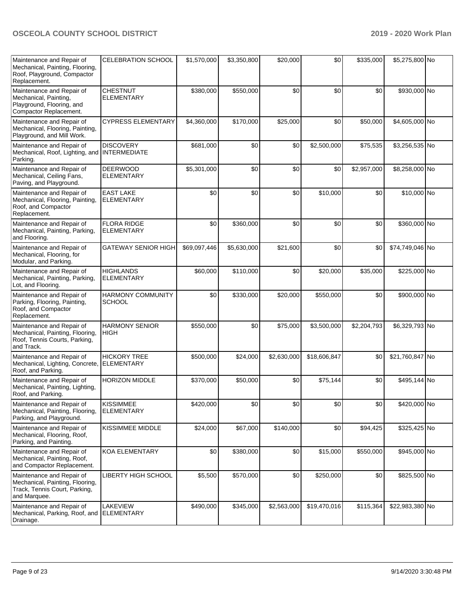| Maintenance and Repair of<br>Mechanical, Painting, Flooring,<br>Roof, Playground, Compactor<br>Replacement.   | CELEBRATION SCHOOL                        | \$1,570,000  | \$3,350,800 | \$20,000    | \$0          | \$335,000   | \$5,275,800 No  |  |
|---------------------------------------------------------------------------------------------------------------|-------------------------------------------|--------------|-------------|-------------|--------------|-------------|-----------------|--|
| Maintenance and Repair of<br>Mechanical, Painting,<br>Playground, Flooring, and<br>Compactor Replacement.     | <b>CHESTNUT</b><br><b>ELEMENTARY</b>      | \$380,000    | \$550,000   | \$0         | \$0          | \$0         | \$930,000 No    |  |
| Maintenance and Repair of<br>Mechanical, Flooring, Painting,<br>Playground, and Mill Work.                    | <b>CYPRESS ELEMENTARY</b>                 | \$4,360,000  | \$170,000   | \$25,000    | \$0          | \$50,000    | \$4,605,000 No  |  |
| Maintenance and Repair of<br>Mechanical, Roof, Lighting, and INTERMEDIATE<br>Parking.                         | <b>DISCOVERY</b>                          | \$681,000    | \$0         | \$0         | \$2,500,000  | \$75,535    | \$3,256,535 No  |  |
| Maintenance and Repair of<br>Mechanical, Ceiling Fans,<br>Paving, and Playground.                             | <b>DEERWOOD</b><br><b>ELEMENTARY</b>      | \$5,301,000  | \$0         | \$0         | \$0          | \$2,957,000 | \$8,258,000 No  |  |
| Maintenance and Repair of<br>Mechanical, Flooring, Painting,<br>Roof, and Compactor<br>Replacement.           | <b>EAST LAKE</b><br><b>ELEMENTARY</b>     | \$0          | \$0         | \$0         | \$10,000     | \$0         | \$10,000 No     |  |
| Maintenance and Repair of<br>Mechanical, Painting, Parking,<br>and Flooring.                                  | <b>FLORA RIDGE</b><br><b>ELEMENTARY</b>   | \$0          | \$360,000   | \$0         | \$0          | \$0         | \$360,000 No    |  |
| Maintenance and Repair of<br>Mechanical, Flooring, for<br>Modular, and Parking.                               | <b>GATEWAY SENIOR HIGH</b>                | \$69,097,446 | \$5,630,000 | \$21,600    | \$0          | \$0         | \$74,749,046 No |  |
| Maintenance and Repair of<br>Mechanical, Painting, Parking,<br>Lot, and Flooring.                             | <b>HIGHLANDS</b><br><b>ELEMENTARY</b>     | \$60,000     | \$110,000   | \$0         | \$20,000     | \$35,000    | \$225,000 No    |  |
| Maintenance and Repair of<br>Parking, Flooring, Painting,<br>Roof, and Compactor<br>Replacement.              | <b>HARMONY COMMUNITY</b><br><b>SCHOOL</b> | \$0          | \$330,000   | \$20,000    | \$550,000    | \$0         | \$900,000 No    |  |
| Maintenance and Repair of<br>Mechanical, Painting, Flooring,<br>Roof, Tennis Courts, Parking,<br>and Track.   | <b>HARMONY SENIOR</b><br><b>HIGH</b>      | \$550,000    | \$0         | \$75,000    | \$3,500,000  | \$2,204,793 | \$6,329,793 No  |  |
| Maintenance and Repair of<br>Mechanical, Lighting, Concrete,<br>Roof, and Parking.                            | <b>HICKORY TREE</b><br><b>ELEMENTARY</b>  | \$500,000    | \$24,000    | \$2,630,000 | \$18,606,847 | \$0         | \$21,760,847 No |  |
| Maintenance and Repair of<br>Mechanical, Painting, Lighting,<br>Roof, and Parking.                            | HORIZON MIDDLE                            | \$370,000    | \$50,000    | \$0         | \$75,144     | \$0         | \$495,144 No    |  |
| Maintenance and Repair of<br>Mechanical, Painting, Flooring,<br>Parking, and Playground.                      | <b>KISSIMMEE</b><br><b>ELEMENTARY</b>     | \$420,000    | \$0         | \$0         | \$0          | \$0         | \$420,000 No    |  |
| Maintenance and Repair of<br>Mechanical, Flooring, Roof,<br>Parking, and Painting.                            | <b>KISSIMMEE MIDDLE</b>                   | \$24,000     | \$67,000    | \$140,000   | \$0          | \$94,425    | \$325,425 No    |  |
| Maintenance and Repair of<br>Mechanical, Painting, Roof,<br>and Compactor Replacement.                        | <b>KOA ELEMENTARY</b>                     | \$0          | \$380,000   | \$0         | \$15,000     | \$550,000   | \$945,000 No    |  |
| Maintenance and Repair of<br>Mechanical, Painting, Flooring,<br>Track, Tennis Court, Parking,<br>and Marquee. | LIBERTY HIGH SCHOOL                       | \$5,500      | \$570,000   | \$0         | \$250,000    | \$0         | \$825,500 No    |  |
| Maintenance and Repair of<br>Mechanical, Parking, Roof, and<br>Drainage.                                      | <b>LAKEVIEW</b><br><b>ELEMENTARY</b>      | \$490,000    | \$345,000   | \$2,563,000 | \$19,470,016 | \$115,364   | \$22,983,380 No |  |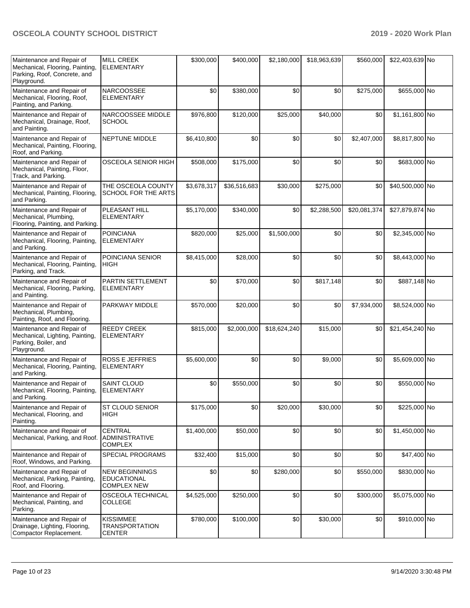| Maintenance and Repair of<br>Mechanical, Flooring, Painting,<br>Parking, Roof, Concrete, and<br>Playground. | <b>MILL CREEK</b><br><b>ELEMENTARY</b>                            | \$300,000   | \$400,000    | \$2,180,000  | \$18,963,639 | \$560,000    | \$22,403,639 No |  |
|-------------------------------------------------------------------------------------------------------------|-------------------------------------------------------------------|-------------|--------------|--------------|--------------|--------------|-----------------|--|
| Maintenance and Repair of<br>Mechanical, Flooring, Roof,<br>Painting, and Parking.                          | <b>NARCOOSSEE</b><br><b>ELEMENTARY</b>                            | \$0         | \$380,000    | \$0          | \$0          | \$275,000    | \$655,000 No    |  |
| Maintenance and Repair of<br>Mechanical, Drainage, Roof,<br>and Painting.                                   | NARCOOSSEE MIDDLE<br><b>SCHOOL</b>                                | \$976,800   | \$120,000    | \$25,000     | \$40,000     | \$0          | \$1,161,800 No  |  |
| Maintenance and Repair of<br>Mechanical, Painting, Flooring,<br>Roof, and Parking.                          | <b>NEPTUNE MIDDLE</b>                                             | \$6,410,800 | \$0          | \$0          | \$0          | \$2,407,000  | \$8,817,800 No  |  |
| Maintenance and Repair of<br>Mechanical, Painting, Floor,<br>Track, and Parking.                            | OSCEOLA SENIOR HIGH                                               | \$508,000   | \$175,000    | \$0          | \$0          | \$0          | \$683,000 No    |  |
| Maintenance and Repair of<br>Mechanical, Painting, Flooring,<br>and Parking.                                | THE OSCEOLA COUNTY<br>SCHOOL FOR THE ARTS                         | \$3,678,317 | \$36,516,683 | \$30,000     | \$275,000    | \$0          | \$40,500,000 No |  |
| Maintenance and Repair of<br>Mechanical, Plumbing,<br>Flooring, Painting, and Parking.                      | PLEASANT HILL<br><b>ELEMENTARY</b>                                | \$5,170,000 | \$340,000    | \$0          | \$2,288,500  | \$20,081,374 | \$27,879,874 No |  |
| Maintenance and Repair of<br>Mechanical, Flooring, Painting,<br>and Parking.                                | <b>POINCIANA</b><br><b>ELEMENTARY</b>                             | \$820,000   | \$25,000     | \$1,500,000  | \$0          | \$0          | \$2,345,000 No  |  |
| Maintenance and Repair of<br>Mechanical, Flooring, Painting,<br>Parking, and Track.                         | POINCIANA SENIOR<br><b>HIGH</b>                                   | \$8,415,000 | \$28,000     | \$0          | \$0          | \$0          | \$8,443,000 No  |  |
| Maintenance and Repair of<br>Mechanical, Flooring, Parking,<br>and Painting.                                | PARTIN SETTLEMENT<br><b>ELEMENTARY</b>                            | \$0         | \$70,000     | \$0          | \$817,148    | \$0          | \$887,148 No    |  |
| Maintenance and Repair of<br>Mechanical, Plumbing,<br>Painting, Roof, and Flooring.                         | PARKWAY MIDDLE                                                    | \$570,000   | \$20,000     | \$0          | \$0          | \$7,934,000  | \$8,524,000 No  |  |
| Maintenance and Repair of<br>Mechanical, Lighting, Painting,<br>Parking, Boiler, and<br>Playground.         | <b>REEDY CREEK</b><br><b>ELEMENTARY</b>                           | \$815,000   | \$2,000,000  | \$18,624,240 | \$15,000     | \$0          | \$21,454,240 No |  |
| Maintenance and Repair of<br>Mechanical, Flooring, Painting,<br>and Parking.                                | <b>ROSS E JEFFRIES</b><br><b>ELEMENTARY</b>                       | \$5,600,000 | \$0          | \$0          | \$9,000      | \$0          | \$5,609,000 No  |  |
| Maintenance and Repair of<br>Mechanical, Flooring, Painting,<br>and Parking.                                | <b>SAINT CLOUD</b><br><b>ELEMENTARY</b>                           | \$0         | \$550,000    | \$0          | \$0          | \$0          | \$550,000 No    |  |
| Maintenance and Repair of<br>Mechanical, Flooring, and<br>Painting.                                         | ST CLOUD SENIOR<br>HIGH                                           | \$175,000   | \$0          | \$20,000     | \$30,000     | \$0          | \$225,000 No    |  |
| Maintenance and Repair of<br>Mechanical, Parking, and Roof.                                                 | <b>CENTRAL</b><br><b>ADMINISTRATIVE</b><br><b>COMPLEX</b>         | \$1,400,000 | \$50,000     | \$0          | \$0          | \$0          | \$1,450,000 No  |  |
| Maintenance and Repair of<br>Roof, Windows, and Parking.                                                    | <b>SPECIAL PROGRAMS</b>                                           | \$32,400    | \$15,000     | \$0          | \$0          | \$0          | \$47,400 No     |  |
| Maintenance and Repair of<br>Mechanical, Parking, Painting,<br>Roof, and Flooring.                          | <b>NEW BEGINNINGS</b><br><b>EDUCATIONAL</b><br><b>COMPLEX NEW</b> | \$0         | \$0          | \$280,000    | \$0          | \$550,000    | \$830,000 No    |  |
| Maintenance and Repair of<br>Mechanical, Painting, and<br>Parking.                                          | OSCEOLA TECHNICAL<br><b>COLLEGE</b>                               | \$4,525,000 | \$250,000    | \$0          | \$0          | \$300,000    | \$5,075,000 No  |  |
| Maintenance and Repair of<br>Drainage, Lighting, Flooring,<br>Compactor Replacement.                        | <b>KISSIMMEE</b><br>TRANSPORTATION<br><b>CENTER</b>               | \$780,000   | \$100,000    | \$0          | \$30,000     | \$0          | \$910,000 No    |  |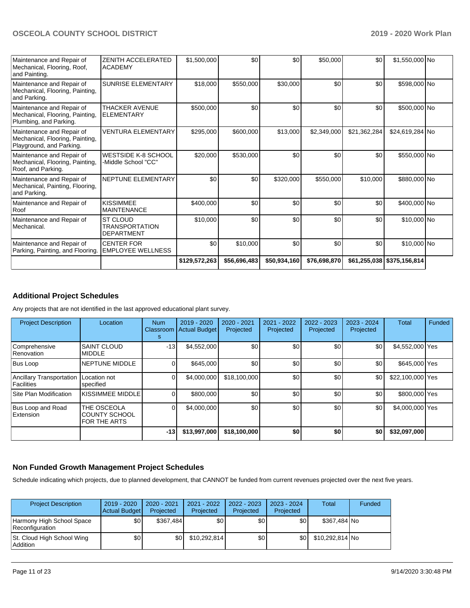| Maintenance and Repair of<br>Mechanical, Flooring, Roof,<br>and Painting.                | ZENITH ACCELERATED<br><b>ACADEMY</b>                   | \$1,500,000   | \$0          | \$0          | \$50,000     | \$0          | \$1,550,000 No               |  |
|------------------------------------------------------------------------------------------|--------------------------------------------------------|---------------|--------------|--------------|--------------|--------------|------------------------------|--|
| Maintenance and Repair of<br>Mechanical, Flooring, Painting,<br>and Parking.             | <b>SUNRISE ELEMENTARY</b>                              | \$18,000      | \$550,000    | \$30,000     | \$0          | \$0          | \$598,000 No                 |  |
| Maintenance and Repair of<br>Mechanical, Flooring, Painting,<br>Plumbing, and Parking.   | <b>THACKER AVENUE</b><br><b>ELEMENTARY</b>             | \$500,000     | \$0          | \$0          | \$0          | \$0          | \$500,000 No                 |  |
| Maintenance and Repair of<br>Mechanical, Flooring, Painting,<br>Playground, and Parking. | <b>VENTURA ELEMENTARY</b>                              | \$295,000     | \$600,000    | \$13,000     | \$2,349,000  | \$21,362,284 | \$24,619,284 No              |  |
| Maintenance and Repair of<br>Mechanical, Flooring, Painting,<br>Roof, and Parking.       | <b>WESTSIDE K-8 SCHOOL</b><br>-Middle School "CC"      | \$20,000      | \$530,000    | \$0          | \$0          | \$0          | \$550,000 No                 |  |
| Maintenance and Repair of<br>Mechanical, Painting, Flooring,<br>and Parking.             | NEPTUNE ELEMENTARY                                     | \$0           | \$0          | \$320,000    | \$550,000    | \$10,000     | \$880,000 No                 |  |
| Maintenance and Repair of<br>Roof                                                        | <b>KISSIMMEE</b><br><b>MAINTENANCE</b>                 | \$400,000     | \$0          | \$0          | \$0          | \$0          | \$400,000 No                 |  |
| Maintenance and Repair of<br>Mechanical.                                                 | ST CLOUD<br><b>TRANSPORTATION</b><br><b>DEPARTMENT</b> | \$10,000      | \$0          | \$0          | \$0          | \$0          | \$10,000 No                  |  |
| Maintenance and Repair of<br>Parking, Painting, and Flooring.                            | <b>CENTER FOR</b><br><b>EMPLOYEE WELLNESS</b>          | \$0           | \$10,000     | \$0          | \$0          | \$0          | \$10,000 No                  |  |
|                                                                                          |                                                        | \$129,572,263 | \$56,696,483 | \$50,934,160 | \$76,698,870 |              | \$61,255,038   \$375,156,814 |  |

## **Additional Project Schedules**

Any projects that are not identified in the last approved educational plant survey.

| <b>Project Description</b>             | Location                                                   | <b>Num</b><br>Classroom<br>s | 2019 - 2020<br>Actual Budget | 2020 - 2021<br>Projected | 2021 - 2022<br>Projected | 2022 - 2023<br>Projected | 2023 - 2024<br>Projected | Total            | Funded |
|----------------------------------------|------------------------------------------------------------|------------------------------|------------------------------|--------------------------|--------------------------|--------------------------|--------------------------|------------------|--------|
| Comprehensive<br>Renovation            | <b>SAINT CLOUD</b><br><b>MIDDLE</b>                        | $-13$                        | \$4,552,000                  | \$0                      | \$0                      | \$0                      | \$0                      | \$4,552,000 Yes  |        |
| Bus Loop                               | NEPTUNE MIDDLE                                             |                              | \$645,000                    | \$0                      | \$0                      | \$0                      | \$0                      | \$645,000 Yes    |        |
| Ancillary Transportation<br>Facilities | Location not<br>specified                                  |                              | \$4,000,000                  | \$18,100,000             | \$0                      | \$0                      | \$0                      | \$22,100,000 Yes |        |
| Site Plan Modification                 | <b>KISSIMMEE MIDDLE</b>                                    |                              | \$800,000                    | \$0                      | \$0                      | \$0                      | \$0                      | \$800,000 Yes    |        |
| Bus Loop and Road<br>Extension         | THE OSCEOLA<br><b>COUNTY SCHOOL</b><br><b>FOR THE ARTS</b> |                              | \$4,000,000                  | \$0                      | \$0                      | \$0                      | \$0                      | \$4,000,000 Yes  |        |
|                                        |                                                            | $-13$                        | \$13,997,000                 | \$18,100,000             | \$0                      | \$0                      | \$0                      | \$32,097,000     |        |

#### **Non Funded Growth Management Project Schedules**

Schedule indicating which projects, due to planned development, that CANNOT be funded from current revenues projected over the next five years.

| <b>Project Description</b>                   | 2019 - 2020<br>Actual Budget | 2020 - 2021<br>Projected | 2021 - 2022<br>Projected | $2022 - 2023$<br>Projected | $2023 - 2024$<br>Projected | Total           | Funded |
|----------------------------------------------|------------------------------|--------------------------|--------------------------|----------------------------|----------------------------|-----------------|--------|
| Harmony High School Space<br>Reconfiguration | \$0                          | \$367.484                | \$0 <sub>1</sub>         | \$0                        | \$0 <sub>1</sub>           | \$367,484 No    |        |
| St. Cloud High School Wing<br>  Addition     | \$0                          | \$0                      | \$10,292,814             | \$0                        | \$0 I                      | \$10,292,814 No |        |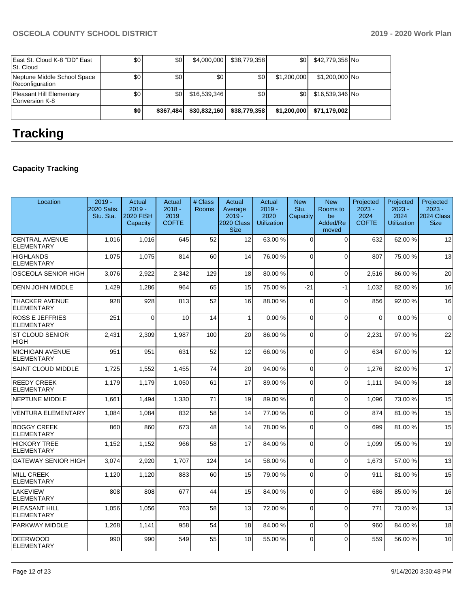| East St. Cloud K-8 "DD" East<br>St. Cloud      | \$0 | \$0       | \$4,000,000  | \$38,779,358 | \$0 <sub>1</sub> | \$42,779,358 No |  |
|------------------------------------------------|-----|-----------|--------------|--------------|------------------|-----------------|--|
| Neptune Middle School Space<br>Reconfiguration | \$0 | \$0       | \$0          | \$٥Ι         | \$1,200,000      | \$1,200,000 No  |  |
| Pleasant Hill Elementary<br>Conversion K-8     | \$0 | \$٥١      | \$16,539,346 | \$0          | \$0              | \$16,539,346 No |  |
|                                                | \$0 | \$367.484 | \$30,832,160 | \$38,779,358 | \$1,200,000      | \$71,179,002    |  |

# **Tracking**

# **Capacity Tracking**

| Location                                    | $2019 -$<br>2020 Satis.<br>Stu. Sta. | Actual<br>$2019 -$<br><b>2020 FISH</b><br>Capacity | Actual<br>$2018 -$<br>2019<br><b>COFTE</b> | # Class<br><b>Rooms</b> | Actual<br>Average<br>$2019 -$<br>2020 Class<br><b>Size</b> | Actual<br>$2019 -$<br>2020<br><b>Utilization</b> | <b>New</b><br>Stu.<br>Capacity | <b>New</b><br>Rooms to<br>be<br>Added/Re<br>moved | Projected<br>$2023 -$<br>2024<br><b>COFTE</b> | Projected<br>$2023 -$<br>2024<br><b>Utilization</b> | Projected<br>$2023 -$<br>2024 Class<br><b>Size</b> |
|---------------------------------------------|--------------------------------------|----------------------------------------------------|--------------------------------------------|-------------------------|------------------------------------------------------------|--------------------------------------------------|--------------------------------|---------------------------------------------------|-----------------------------------------------|-----------------------------------------------------|----------------------------------------------------|
| <b>CENTRAL AVENUE</b><br><b>ELEMENTARY</b>  | 1.016                                | 1.016                                              | 645                                        | 52                      | 12                                                         | 63.00 %                                          | $\Omega$                       | $\Omega$                                          | 632                                           | 62.00%                                              | 12                                                 |
| <b>HIGHLANDS</b><br><b>ELEMENTARY</b>       | 1.075                                | 1.075                                              | 814                                        | 60                      | 14                                                         | 76.00 %                                          | $\Omega$                       | $\Omega$                                          | 807                                           | 75.00 %                                             | 13                                                 |
| OSCEOLA SENIOR HIGH                         | 3,076                                | 2,922                                              | 2,342                                      | 129                     | 18                                                         | 80.00 %                                          | $\Omega$                       | $\Omega$                                          | 2,516                                         | 86.00 %                                             | 20                                                 |
| <b>DENN JOHN MIDDLE</b>                     | 1,429                                | 1,286                                              | 964                                        | 65                      | 15                                                         | 75.00 %                                          | $-21$                          | $-1$                                              | 1.032                                         | 82.00 %                                             | 16                                                 |
| <b>THACKER AVENUE</b><br><b>ELEMENTARY</b>  | 928                                  | 928                                                | 813                                        | 52                      | 16                                                         | 88.00 %                                          | $\Omega$                       | $\Omega$                                          | 856                                           | 92.00 %                                             | 16                                                 |
| <b>ROSS E JEFFRIES</b><br><b>ELEMENTARY</b> | 251                                  | $\Omega$                                           | 10                                         | 14                      | $\mathbf{1}$                                               | 0.00%                                            | $\Omega$                       | $\Omega$                                          | $\Omega$                                      | 0.00%                                               | $\Omega$                                           |
| <b>ST CLOUD SENIOR</b><br><b>HIGH</b>       | 2,431                                | 2.309                                              | 1.987                                      | 100                     | 20                                                         | 86.00 %                                          | $\Omega$                       | $\Omega$                                          | 2.231                                         | 97.00 %                                             | 22                                                 |
| <b>MICHIGAN AVENUE</b><br><b>ELEMENTARY</b> | 951                                  | 951                                                | 631                                        | 52                      | 12                                                         | 66.00 %                                          | $\Omega$                       | $\Omega$                                          | 634                                           | 67.00 %                                             | 12                                                 |
| <b>SAINT CLOUD MIDDLE</b>                   | 1,725                                | 1,552                                              | 1,455                                      | 74                      | 20                                                         | 94.00 %                                          | $\Omega$                       | $\Omega$                                          | 1,276                                         | 82.00 %                                             | 17                                                 |
| <b>REEDY CREEK</b><br><b>ELEMENTARY</b>     | 1.179                                | 1.179                                              | 1,050                                      | 61                      | 17                                                         | 89.00 %                                          | $\Omega$                       | $\overline{0}$                                    | 1.111                                         | 94.00 %                                             | 18                                                 |
| <b>NEPTUNE MIDDLE</b>                       | 1.661                                | 1.494                                              | 1.330                                      | 71                      | 19                                                         | 89.00 %                                          | $\Omega$                       | $\Omega$                                          | 1.096                                         | 73.00 %                                             | 15                                                 |
| <b>VENTURA ELEMENTARY</b>                   | 1,084                                | 1,084                                              | 832                                        | 58                      | 14                                                         | 77.00 %                                          | $\Omega$                       | $\Omega$                                          | 874                                           | 81.00%                                              | 15                                                 |
| <b>BOGGY CREEK</b><br><b>ELEMENTARY</b>     | 860                                  | 860                                                | 673                                        | 48                      | 14                                                         | 78.00%                                           | $\Omega$                       | $\Omega$                                          | 699                                           | 81.00%                                              | 15                                                 |
| <b>HICKORY TREE</b><br><b>ELEMENTARY</b>    | 1,152                                | 1,152                                              | 966                                        | 58                      | 17                                                         | 84.00%                                           | $\Omega$                       | $\Omega$                                          | 1.099                                         | 95.00 %                                             | 19                                                 |
| <b>GATEWAY SENIOR HIGH</b>                  | 3,074                                | 2,920                                              | 1,707                                      | 124                     | 14                                                         | 58.00 %                                          | $\Omega$                       | $\Omega$                                          | 1.673                                         | 57.00 %                                             | 13                                                 |
| <b>MILL CREEK</b><br><b>ELEMENTARY</b>      | 1,120                                | 1,120                                              | 883                                        | 60                      | 15                                                         | 79.00 %                                          | $\Omega$                       | $\Omega$                                          | 911                                           | 81.00%                                              | 15                                                 |
| <b>LAKEVIEW</b><br><b>ELEMENTARY</b>        | 808                                  | 808                                                | 677                                        | 44                      | 15                                                         | 84.00%                                           | $\Omega$                       | $\Omega$                                          | 686                                           | 85.00 %                                             | 16                                                 |
| PLEASANT HILL<br><b>ELEMENTARY</b>          | 1,056                                | 1,056                                              | 763                                        | 58                      | 13                                                         | 72.00 %                                          | $\Omega$                       | $\Omega$                                          | 771                                           | 73.00 %                                             | 13                                                 |
| <b>PARKWAY MIDDLE</b>                       | 1,268                                | 1,141                                              | 958                                        | 54                      | 18                                                         | 84.00 %                                          | $\Omega$                       | $\Omega$                                          | 960                                           | 84.00 %                                             | 18                                                 |
| <b>DEERWOOD</b><br><b>ELEMENTARY</b>        | 990                                  | 990                                                | 549                                        | 55                      | 10                                                         | 55.00 %                                          | $\Omega$                       | $\Omega$                                          | 559                                           | 56.00 %                                             | 10 <sup>1</sup>                                    |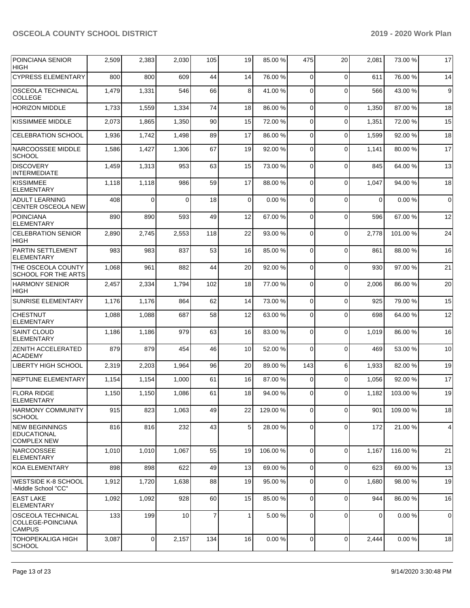| <b>POINCIANA SENIOR</b><br><b>HIGH</b>                             | 2,509 | 2,383          | 2,030    | 105            | 19           | 85.00 %   | 475         | 20          | 2,081 | 73.00 %  | 17          |
|--------------------------------------------------------------------|-------|----------------|----------|----------------|--------------|-----------|-------------|-------------|-------|----------|-------------|
| <b>CYPRESS ELEMENTARY</b>                                          | 800   | 800            | 609      | 44             | 14           | 76.00%    | 0           | $\Omega$    | 611   | 76.00 %  | 14          |
| <b>OSCEOLA TECHNICAL</b><br><b>COLLEGE</b>                         | 1,479 | 1,331          | 546      | 66             | 8            | 41.00%    | 0           | $\Omega$    | 566   | 43.00 %  | 9           |
| <b>HORIZON MIDDLE</b>                                              | 1,733 | 1,559          | 1,334    | 74             | 18           | 86.00 %   | $\mathbf 0$ | $\mathbf 0$ | 1,350 | 87.00 %  | 18          |
| <b>KISSIMMEE MIDDLE</b>                                            | 2,073 | 1,865          | 1,350    | 90             | 15           | 72.00%    | 0           | $\mathbf 0$ | 1,351 | 72.00 %  | 15          |
| <b>CELEBRATION SCHOOL</b>                                          | 1,936 | 1,742          | 1,498    | 89             | 17           | 86.00 %   | $\mathbf 0$ | $\mathbf 0$ | 1,599 | 92.00 %  | 18          |
| NARCOOSSEE MIDDLE<br><b>SCHOOL</b>                                 | 1,586 | 1,427          | 1,306    | 67             | 19           | 92.00 %   | 0           | $\mathbf 0$ | 1,141 | 80.00 %  | 17          |
| <b>DISCOVERY</b><br>INTERMEDIATE                                   | 1,459 | 1,313          | 953      | 63             | 15           | 73.00 %   | $\Omega$    | $\mathbf 0$ | 845   | 64.00 %  | 13          |
| <b>KISSIMMEE</b><br><b>ELEMENTARY</b>                              | 1,118 | 1,118          | 986      | 59             | 17           | 88.00 %   | 0           | $\Omega$    | 1,047 | 94.00 %  | 18          |
| <b>ADULT LEARNING</b><br><b>CENTER OSCEOLA NEW</b>                 | 408   | $\Omega$       | $\Omega$ | 18             | $\mathbf 0$  | 0.00%     | $\mathbf 0$ | $\mathbf 0$ | 0     | 0.00%    | $\mathbf 0$ |
| <b>POINCIANA</b><br><b>ELEMENTARY</b>                              | 890   | 890            | 593      | 49             | 12           | 67.00 %   | $\Omega$    | $\mathbf 0$ | 596   | 67.00 %  | 12          |
| <b>CELEBRATION SENIOR</b><br><b>HIGH</b>                           | 2,890 | 2,745          | 2,553    | 118            | 22           | 93.00 %   | 0           | $\Omega$    | 2,778 | 101.00 % | 24          |
| PARTIN SETTLEMENT<br><b>ELEMENTARY</b>                             | 983   | 983            | 837      | 53             | 16           | 85.00 %   | $\mathbf 0$ | $\mathbf 0$ | 861   | 88.00 %  | 16          |
| <b>THE OSCEOLA COUNTY</b><br><b>SCHOOL FOR THE ARTS</b>            | 1,068 | 961            | 882      | 44             | 20           | 92.00 %   | $\Omega$    | $\mathbf 0$ | 930   | 97.00 %  | 21          |
| <b>HARMONY SENIOR</b><br><b>HIGH</b>                               | 2,457 | 2,334          | 1,794    | 102            | 18           | 77.00 %   | $\mathbf 0$ | $\Omega$    | 2,006 | 86.00 %  | 20          |
| <b>SUNRISE ELEMENTARY</b>                                          | 1,176 | 1,176          | 864      | 62             | 14           | 73.00 %   | $\mathbf 0$ | $\mathbf 0$ | 925   | 79.00 %  | 15          |
| <b>CHESTNUT</b><br><b>ELEMENTARY</b>                               | 1,088 | 1,088          | 687      | 58             | 12           | 63.00 %   | 0           | $\mathbf 0$ | 698   | 64.00 %  | 12          |
| <b>SAINT CLOUD</b><br><b>ELEMENTARY</b>                            | 1,186 | 1,186          | 979      | 63             | 16           | 83.00 %   | $\Omega$    | $\mathbf 0$ | 1,019 | 86.00 %  | 16          |
| <b>ZENITH ACCELERATED</b><br><b>ACADEMY</b>                        | 879   | 879            | 454      | 46             | 10           | 52.00 %   | $\Omega$    | $\Omega$    | 469   | 53.00 %  | 10          |
| LIBERTY HIGH SCHOOL                                                | 2,319 | 2,203          | 1,964    | 96             | 20           | 89.00 %   | 143         | 6           | 1,933 | 82.00%   | 19          |
| <b>NEPTUNE ELEMENTARY</b>                                          | 1,154 | 1,154          | 1,000    | 61             | 16           | 87.00 %   | 0           | $\mathbf 0$ | 1,056 | 92.00 %  | 17          |
| <b>FLORA RIDGE</b><br>ELEMENTARY                                   | 1,150 | 1,150          | 1,086    | 61             | 18           | 94.00%    | 0           | $\Omega$    | 1,182 | 103.00%  | 19          |
| HARMONY COMMUNITY<br><b>SCHOOL</b>                                 | 915   | 823            | 1,063    | 49             | 22           | 129.00 %  | 0           | $\mathbf 0$ | 901   | 109.00 % | 18          |
| <b>INEW BEGINNINGS</b><br><b>EDUCATIONAL</b><br><b>COMPLEX NEW</b> | 816   | 816            | 232      | 43             | 5            | 28.00 %   | 0           | $\mathbf 0$ | 172   | 21.00 %  | 4           |
| <b>NARCOOSSEE</b><br><b>ELEMENTARY</b>                             | 1,010 | 1,010          | 1,067    | 55             | 19           | 106.00%   | 0           | $\mathbf 0$ | 1,167 | 116.00%  | 21          |
| KOA ELEMENTARY                                                     | 898   | 898            | 622      | 49             | 13           | 69.00 %   | $\mathbf 0$ | $\mathbf 0$ | 623   | 69.00 %  | 13          |
| <b>WESTSIDE K-8 SCHOOL</b><br>-Middle School "CC"                  | 1,912 | 1,720          | 1,638    | 88             | 19           | 95.00 %   | $\mathbf 0$ | $\mathbf 0$ | 1,680 | 98.00 %  | 19          |
| <b>EAST LAKE</b><br><b>ELEMENTARY</b>                              | 1,092 | 1,092          | 928      | 60             | 15           | 85.00 %   | 0           | $\Omega$    | 944   | 86.00 %  | 16          |
| <b>OSCEOLA TECHNICAL</b><br>COLLEGE-POINCIANA<br><b>CAMPUS</b>     | 133   | 199            | 10       | $\overline{7}$ | $\mathbf{1}$ | 5.00 %    | $\mathbf 0$ | $\mathbf 0$ | 0     | 0.00%    | 0           |
| TOHOPEKALIGA HIGH<br> SCHOOL                                       | 3,087 | $\overline{0}$ | 2,157    | 134            | 16           | $0.00 \%$ | 0           | $\mathbf 0$ | 2,444 | 0.00%    | 18          |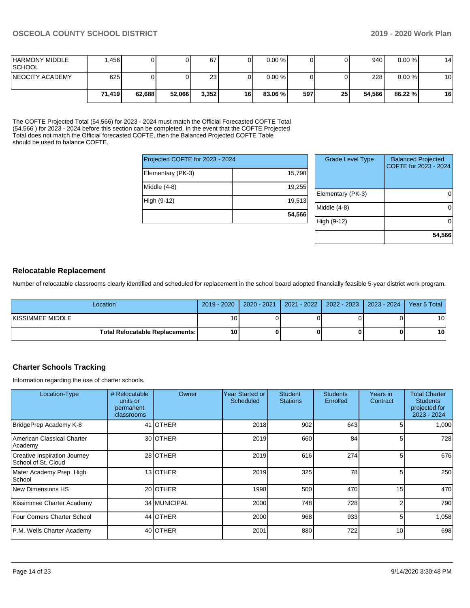| <b>HARMONY MIDDLE</b><br><b>SCHOOL</b> | .456   |        |        | 67    |    | $0.00 \%$ |     |    | 940    | $0.00\%$  | 14 |
|----------------------------------------|--------|--------|--------|-------|----|-----------|-----|----|--------|-----------|----|
| <b>INEOCITY ACADEMY</b>                | 625    |        |        | 23    |    | 0.00%     |     |    | 228    | $0.00 \%$ | 10 |
|                                        | 71.419 | 62,688 | 52,066 | 3,352 | 16 | 83.06 %   | 597 | 25 | 54.566 | 86.22 %   | 16 |

The COFTE Projected Total (54,566) for 2023 - 2024 must match the Official Forecasted COFTE Total (54,566 ) for 2023 - 2024 before this section can be completed. In the event that the COFTE Projected Total does not match the Official forecasted COFTE, then the Balanced Projected COFTE Table should be used to balance COFTE.

| Projected COFTE for 2023 - 2024 |        |
|---------------------------------|--------|
| Elementary (PK-3)               | 15,798 |
| Middle (4-8)                    | 19,255 |
| High (9-12)                     | 19,513 |
|                                 | 54.566 |

| <b>Grade Level Type</b> | <b>Balanced Projected</b><br>COFTE for 2023 - 2024 |
|-------------------------|----------------------------------------------------|
| Elementary (PK-3)       |                                                    |
| Middle $(4-8)$          |                                                    |
| High (9-12)             |                                                    |
|                         | 54,566                                             |

#### **Relocatable Replacement**

Number of relocatable classrooms clearly identified and scheduled for replacement in the school board adopted financially feasible 5-year district work program.

| Location                                 | 2019 - 2020     | $2020 - 2021$ | 2021 - 2022   2022 - 2023   2023 - 2024   Year 5 Total |                 |
|------------------------------------------|-----------------|---------------|--------------------------------------------------------|-----------------|
| IKISSIMMEE MIDDLE                        | 10              |               |                                                        | 10              |
| <b>Total Relocatable Replacements: I</b> | 10 <sub>1</sub> |               |                                                        | 10 <sup>1</sup> |

#### **Charter Schools Tracking**

Information regarding the use of charter schools.

| Location-Type                                       | # Relocatable<br>units or<br>permanent<br>classrooms | Owner        | Year Started or<br>Scheduled | <b>Student</b><br><b>Stations</b> | <b>Students</b><br>Enrolled | Years in<br>Contract | <b>Total Charter</b><br><b>Students</b><br>projected for<br>2023 - 2024 |
|-----------------------------------------------------|------------------------------------------------------|--------------|------------------------------|-----------------------------------|-----------------------------|----------------------|-------------------------------------------------------------------------|
| BridgePrep Academy K-8                              |                                                      | 41 OTHER     | 2018                         | 902                               | 643                         |                      | 1,000                                                                   |
| American Classical Charter<br>Academy               |                                                      | 30 OTHER     | 2019                         | 660                               | 84                          |                      | 728                                                                     |
| Creative Inspiration Journey<br>School of St. Cloud |                                                      | 28 OTHER     | 2019                         | 616                               | 274                         | 5                    | 676                                                                     |
| Mater Academy Prep. High<br>School                  |                                                      | 13 OTHER     | 2019                         | 325                               | 78                          |                      | 250                                                                     |
| New Dimensions HS                                   |                                                      | 20 OTHER     | 1998                         | 500                               | 470                         | 15                   | 470                                                                     |
| Kissimmee Charter Academy                           |                                                      | 34 MUNICIPAL | 2000                         | 748                               | 728                         | 2                    | 790                                                                     |
| Four Corners Charter School                         |                                                      | 44 OTHER     | 2000                         | 968                               | 933                         | 5                    | 1,058                                                                   |
| P.M. Wells Charter Academy                          |                                                      | 40 OTHER     | 2001                         | 880                               | 722                         | 10                   | 698                                                                     |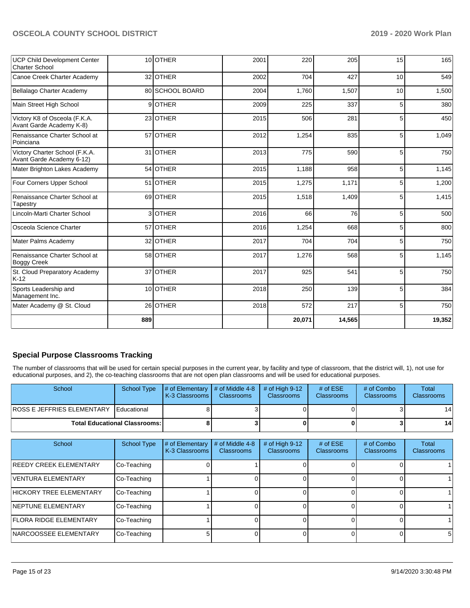| <b>UCP Child Development Center</b><br>Charter School       |     | 10 OTHER        | 2001 | 220    | 205    | 15             | 165    |
|-------------------------------------------------------------|-----|-----------------|------|--------|--------|----------------|--------|
| Canoe Creek Charter Academy                                 |     | 32 OTHER        | 2002 | 704    | 427    | 10             | 549    |
| Bellalago Charter Academy                                   |     | 80 SCHOOL BOARD | 2004 | 1,760  | 1,507  | 10             | 1,500  |
| Main Street High School                                     |     | 9OTHER          | 2009 | 225    | 337    | 5 <sup>1</sup> | 380    |
| Victory K8 of Osceola (F.K.A.<br>Avant Garde Academy K-8)   |     | 23 OTHER        | 2015 | 506    | 281    | 5              | 450    |
| Renaissance Charter School at<br>Poinciana                  |     | 57 OTHER        | 2012 | 1,254  | 835    | 5 <sup>1</sup> | 1,049  |
| Victory Charter School (F.K.A.<br>Avant Garde Academy 6-12) |     | 31 OTHER        | 2013 | 775    | 590    | 5              | 750    |
| Mater Brighton Lakes Academy                                |     | 54 OTHER        | 2015 | 1,188  | 958    | 5              | 1,145  |
| Four Corners Upper School                                   |     | 51 OTHER        | 2015 | 1,275  | 1,171  | 5 <sup>1</sup> | 1,200  |
| Renaissance Charter School at<br>Tapestry                   |     | 69 OTHER        | 2015 | 1,518  | 1,409  | 5              | 1,415  |
| Lincoln-Marti Charter School                                |     | 3 OTHER         | 2016 | 66     | 76     | 5 <sup>5</sup> | 500    |
| Osceola Science Charter                                     |     | 57 OTHER        | 2016 | 1,254  | 668    | 5              | 800    |
| Mater Palms Academy                                         |     | 32 OTHER        | 2017 | 704    | 704    | 5 <sup>1</sup> | 750    |
| Renaissance Charter School at<br><b>Boggy Creek</b>         |     | 58 OTHER        | 2017 | 1,276  | 568    | 5              | 1,145  |
| St. Cloud Preparatory Academy<br>$K-12$                     |     | 37 OTHER        | 2017 | 925    | 541    | 5              | 750    |
| Sports Leadership and<br>Management Inc.                    |     | 10 OTHER        | 2018 | 250    | 139    | 5              | 384    |
| Mater Academy @ St. Cloud                                   |     | 26 OTHER        | 2018 | 572    | 217    | 5 <sup>1</sup> | 750    |
|                                                             | 889 |                 |      | 20,071 | 14,565 |                | 19,352 |

#### **Special Purpose Classrooms Tracking**

The number of classrooms that will be used for certain special purposes in the current year, by facility and type of classroom, that the district will, 1), not use for educational purposes, and 2), the co-teaching classrooms that are not open plan classrooms and will be used for educational purposes.

| School                                           | School Type                            | $\parallel$ # of Elementary # of Middle 4-8<br>K-3 Classrooms | <b>Classrooms</b> | $\#$ of High 9-12<br><b>Classrooms</b> | # of $ESE$<br><b>Classrooms</b> | # of Combo<br><b>Classrooms</b> | Total<br><b>Classrooms</b> |
|--------------------------------------------------|----------------------------------------|---------------------------------------------------------------|-------------------|----------------------------------------|---------------------------------|---------------------------------|----------------------------|
| <b>IROSS E JEFFRIES ELEMENTARY I Educational</b> |                                        |                                                               |                   |                                        |                                 |                                 | 14                         |
|                                                  | <b>Total Educational Classrooms: I</b> |                                                               |                   |                                        |                                 |                                 | 14 <sup>1</sup>            |

| School                         | <b>School Type</b> | # of Elementary<br>K-3 Classrooms | # of Middle 4-8<br><b>Classrooms</b> | # of High $9-12$<br><b>Classrooms</b> | # of $ESE$<br>Classrooms | # of Combo<br><b>Classrooms</b> | Total<br><b>Classrooms</b> |
|--------------------------------|--------------------|-----------------------------------|--------------------------------------|---------------------------------------|--------------------------|---------------------------------|----------------------------|
| <b>IREEDY CREEK ELEMENTARY</b> | Co-Teaching        |                                   |                                      |                                       |                          |                                 |                            |
| VENTURA ELEMENTARY             | Co-Teaching        |                                   |                                      |                                       |                          |                                 |                            |
| HICKORY TREE ELEMENTARY        | Co-Teaching        |                                   |                                      |                                       |                          |                                 |                            |
| <b>INEPTUNE ELEMENTARY</b>     | Co-Teaching        |                                   |                                      |                                       |                          |                                 |                            |
| <b>FLORA RIDGE ELEMENTARY</b>  | Co-Teaching        |                                   |                                      |                                       |                          |                                 |                            |
| <b>INARCOOSSEE ELEMENTARY</b>  | Co-Teaching        |                                   |                                      |                                       |                          |                                 | 5                          |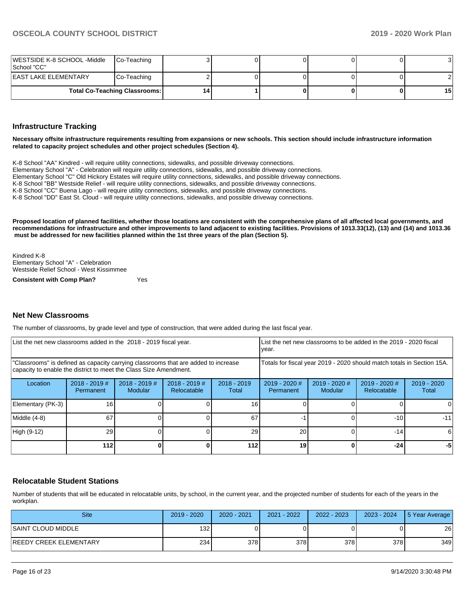| WESTSIDE K-8 SCHOOL -Middle<br>│School "CC" | Co-Teaching                          |   |  |  |    |
|---------------------------------------------|--------------------------------------|---|--|--|----|
| IEAST LAKE ELEMENTARY                       | Co-Teaching                          |   |  |  |    |
|                                             | <b>Total Co-Teaching Classrooms:</b> | 4 |  |  | 15 |

#### **Infrastructure Tracking**

**Necessary offsite infrastructure requirements resulting from expansions or new schools. This section should include infrastructure information related to capacity project schedules and other project schedules (Section 4).** 

K-8 School "AA" Kindred - will require utility connections, sidewalks, and possible driveway connections.

Elementary School "A" - Celebration will require utility connections, sidewalks, and possible driveway connections.

Elementary School "C" Old Hickory Estates will require utility connections, sidewalks, and possible driveway connections.

K-8 School "BB" Westside Relief - will require utility connections, sidewalks, and possible driveway connections.

K-8 School "CC" Buena Lago - will require utility connections, sidewalks, and possible driveway connections.

K-8 School "DD" East St. Cloud - will require utility connections, sidewalks, and possible driveway connections.

**Proposed location of planned facilities, whether those locations are consistent with the comprehensive plans of all affected local governments, and recommendations for infrastructure and other improvements to land adjacent to existing facilities. Provisions of 1013.33(12), (13) and (14) and 1013.36 must be addressed for new facilities planned within the 1st three years of the plan (Section 5).** 

Kindred K-8 Elementary School "A" - Celebration Westside Relief School - West Kissimmee

**Consistent with Comp Plan?** Yes

#### **Net New Classrooms**

The number of classrooms, by grade level and type of construction, that were added during the last fiscal year.

| List the net new classrooms added in the 2018 - 2019 fiscal year.                                                                                       |                              |                                   |                                | List the net new classrooms to be added in the 2019 - 2020 fiscal<br>year. |                                     |                            |                                |                        |
|---------------------------------------------------------------------------------------------------------------------------------------------------------|------------------------------|-----------------------------------|--------------------------------|----------------------------------------------------------------------------|-------------------------------------|----------------------------|--------------------------------|------------------------|
| "Classrooms" is defined as capacity carrying classrooms that are added to increase<br>capacity to enable the district to meet the Class Size Amendment. |                              |                                   |                                | Totals for fiscal year 2019 - 2020 should match totals in Section 15A.     |                                     |                            |                                |                        |
| Location                                                                                                                                                | $2018 - 2019$ #<br>Permanent | $2018 - 2019$ #<br><b>Modular</b> | $2018 - 2019$ #<br>Relocatable | $2018 - 2019$<br>Total                                                     | $2019 - 2020$ #<br><b>Permanent</b> | $2019 - 2020$ #<br>Modular | $2019 - 2020$ #<br>Relocatable | $2019 - 2020$<br>Total |
| Elementary (PK-3)                                                                                                                                       | 16 <sub>1</sub>              |                                   |                                | 16                                                                         |                                     |                            |                                | 0                      |
| Middle (4-8)                                                                                                                                            | 67                           |                                   |                                | 67                                                                         |                                     |                            | $-101$                         | $-11$                  |
| High (9-12)                                                                                                                                             | <b>29</b>                    |                                   |                                | 29                                                                         | 20                                  |                            | $-14$                          | 6                      |
|                                                                                                                                                         | 112 l                        |                                   |                                | 112                                                                        | 19                                  |                            | $-24$                          | -5                     |

#### **Relocatable Student Stations**

Number of students that will be educated in relocatable units, by school, in the current year, and the projected number of students for each of the years in the workplan.

| <b>Site</b>             | 2019 - 2020 | 2020 - 2021 | 2021 - 2022 | 2022 - 2023 | 2023 - 2024 | 5 Year Average |
|-------------------------|-------------|-------------|-------------|-------------|-------------|----------------|
| ISAINT CLOUD MIDDLE     | 1321        |             |             |             |             | 26             |
| IREEDY CREEK ELEMENTARY | 234         | 378         | 378         | 378I        | 378         | 349            |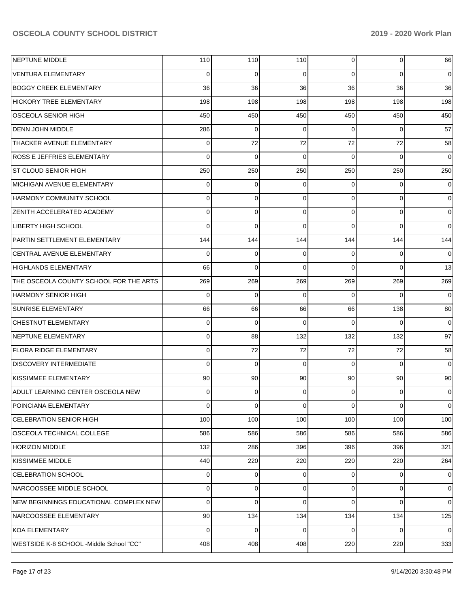| NEPTUNE MIDDLE                          | 110      | 110         | 110      | $\Omega$ | 0           | 66             |
|-----------------------------------------|----------|-------------|----------|----------|-------------|----------------|
| <b>VENTURA ELEMENTARY</b>               | 0        | 0           | 0        | $\Omega$ | $\Omega$    | $\overline{0}$ |
| <b>BOGGY CREEK ELEMENTARY</b>           | 36       | 36          | 36       | 36       | 36          | 36             |
| <b>HICKORY TREE ELEMENTARY</b>          | 198      | 198         | 198      | 198      | 198         | 198            |
| OSCEOLA SENIOR HIGH                     | 450      | 450         | 450      | 450      | 450         | 450            |
| DENN JOHN MIDDLE                        | 286      | 0           | 0        | $\Omega$ | $\Omega$    | 57             |
| THACKER AVENUE ELEMENTARY               | 0        | 72          | 72       | 72       | 72          | 58             |
| <b>ROSS E JEFFRIES ELEMENTARY</b>       | 0        | $\mathbf 0$ | 0        | $\Omega$ | $\Omega$    | $\overline{0}$ |
| <b>ST CLOUD SENIOR HIGH</b>             | 250      | 250         | 250      | 250      | 250         | 250            |
| MICHIGAN AVENUE ELEMENTARY              | 0        | 0           | 0        | $\Omega$ | $\Omega$    | 0              |
| <b>HARMONY COMMUNITY SCHOOL</b>         | 0        | $\mathbf 0$ | $\Omega$ | $\Omega$ | $\Omega$    | $\Omega$       |
| <b>ZENITH ACCELERATED ACADEMY</b>       | 0        | $\mathbf 0$ | 0        | $\Omega$ | $\Omega$    | 0              |
| <b>LIBERTY HIGH SCHOOL</b>              | 0        | $\mathbf 0$ | $\Omega$ | $\Omega$ | $\Omega$    | $\Omega$       |
| PARTIN SETTLEMENT ELEMENTARY            | 144      | 144         | 144      | 144      | 144         | 144            |
| CENTRAL AVENUE ELEMENTARY               | 0        | 0           | 0        | 0        | $\Omega$    | $\Omega$       |
| <b>HIGHLANDS ELEMENTARY</b>             | 66       | $\mathbf 0$ | $\Omega$ | $\Omega$ | $\Omega$    | 13             |
| THE OSCEOLA COUNTY SCHOOL FOR THE ARTS  | 269      | 269         | 269      | 269      | 269         | 269            |
| <b>HARMONY SENIOR HIGH</b>              | 0        | $\mathbf 0$ | 0        | $\Omega$ | $\Omega$    | $\mathbf 0$    |
| <b>SUNRISE ELEMENTARY</b>               | 66       | 66          | 66       | 66       | 138         | 80             |
| CHESTNUT ELEMENTARY                     | 0        | $\mathbf 0$ | 0        | $\Omega$ | $\Omega$    | $\mathbf 0$    |
| NEPTUNE ELEMENTARY                      | 0        | 88          | 132      | 132      | 132         | 97             |
| <b>FLORA RIDGE ELEMENTARY</b>           | 0        | 72          | 72       | 72       | 72          | 58             |
| <b>DISCOVERY INTERMEDIATE</b>           | $\Omega$ | $\mathbf 0$ | 0        | $\Omega$ | $\Omega$    | $\Omega$       |
| KISSIMMEE ELEMENTARY                    | 90       | 90          | 90       | 90       | 90          | 90             |
| ADULT LEARNING CENTER OSCEOLA NEW       | 0        | 0           | 0        | 0        | $\Omega$    | 0              |
| POINCIANA ELEMENTARY                    | 0        | $\mathbf 0$ | 0        | $\Omega$ | $\mathbf 0$ | $\overline{0}$ |
| <b>CELEBRATION SENIOR HIGH</b>          | 100      | 100         | 100      | 100      | 100         | 100            |
| OSCEOLA TECHNICAL COLLEGE               | 586      | 586         | 586      | 586      | 586         | 586            |
| <b>HORIZON MIDDLE</b>                   | 132      | 286         | 396      | 396      | 396         | 321            |
| KISSIMMEE MIDDLE                        | 440      | 220         | 220      | 220      | 220         | 264            |
| CELEBRATION SCHOOL                      | 0        | 0           | 0        | $\Omega$ | 0           | $\overline{0}$ |
| NARCOOSSEE MIDDLE SCHOOL                | 0        | 0           | 0        | $\Omega$ | $\mathbf 0$ | $\overline{0}$ |
| NEW BEGINNINGS EDUCATIONAL COMPLEX NEW  | $\Omega$ | $\mathbf 0$ | 0        | $\Omega$ | $\mathbf 0$ | $\overline{0}$ |
| NARCOOSSEE ELEMENTARY                   | 90       | 134         | 134      | 134      | 134         | 125            |
| <b>KOA ELEMENTARY</b>                   | $\Omega$ | $\mathbf 0$ | 0        | $\Omega$ | 0           | 0              |
| WESTSIDE K-8 SCHOOL -Middle School "CC" | 408      | 408         | 408      | 220      | 220         | 333            |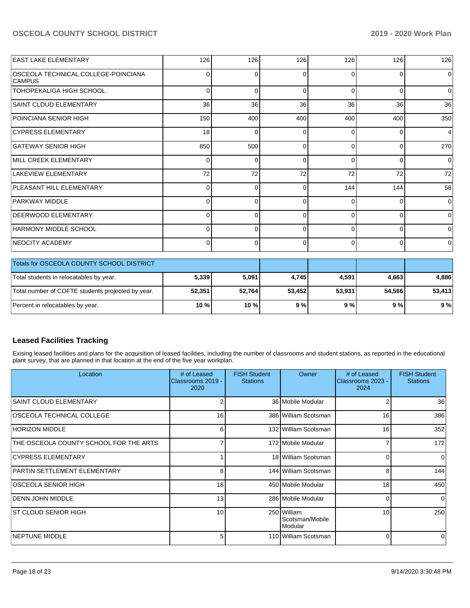| <b>EAST LAKE ELEMENTARY</b>                          | 126            | 126         | 126         | 126      | 126            | 126            |
|------------------------------------------------------|----------------|-------------|-------------|----------|----------------|----------------|
| OSCEOLA TECHNICAL COLLEGE-POINCIANA<br><b>CAMPUS</b> | 0              | $\Omega$    | $\Omega$    | $\Omega$ | $\Omega$       | 0              |
| TOHOPEKALIGA HIGH SCHOOL                             | 0              | $\Omega$    | $\Omega$    | $\Omega$ | $\mathbf 0$    | $\mathbf 0$    |
| <b>SAINT CLOUD ELEMENTARY</b>                        | 36             | 36          | 36          | 36       | 36             | 36             |
| POINCIANA SENIOR HIGH                                | 150            | 400         | 400         | 400      | 400            | 350            |
| <b>CYPRESS ELEMENTARY</b>                            | 18             | $\Omega$    | $\Omega$    | 0        | $\Omega$       | 4              |
| <b>GATEWAY SENIOR HIGH</b>                           | 850            | 500         | $\Omega$    | $\Omega$ | 0              | 270            |
| MILL CREEK ELEMENTARY                                | 0              | $\Omega$    | 0           | $\Omega$ | $\Omega$       | 0              |
| <b>LAKEVIEW ELEMENTARY</b>                           | 72             | 72          | 72          | 72       | 72             | 72             |
| PLEASANT HILL ELEMENTARY                             | 0              | $\Omega$    | 0           | 144      | 144            | 58             |
| PARKWAY MIDDLE                                       | 0              | $\Omega$    | 0           | $\Omega$ | $\Omega$       | $\Omega$       |
| <b>DEERWOOD ELEMENTARY</b>                           | 0              | $\Omega$    | 0           | $\Omega$ | $\Omega$       | 0              |
| <b>HARMONY MIDDLE SCHOOL</b>                         | $\Omega$       | $\Omega$    | $\Omega$    | $\Omega$ | $\Omega$       | $\mathbf 0$    |
| <b>NEOCITY ACADEMY</b>                               | $\overline{0}$ | $\mathbf 0$ | $\mathbf 0$ | $\Omega$ | $\overline{0}$ | $\overline{0}$ |
| Totals for OSCEOLA COUNTY SCHOOL DISTRICT            |                |             |             |          |                |                |
| Total students in relocatables by year.              | 5,339          | 5,091       | 4,745       | 4,591    | 4,663          | 4,886          |
| Total number of COFTE students projected by year.    | 52,351         | 52,764      | 53,452      | 53,931   | 54,566         | 53,413         |
| Percent in relocatables by year.                     | 10 %           | 10%         | 9%          | 9%       | 9%             | 9%             |

### **Leased Facilities Tracking**

Exising leased facilities and plans for the acquisition of leased facilities, including the number of classrooms and student stations, as reported in the educational plant survey, that are planned in that location at the end of the five year workplan.

| Location                               | # of Leased<br>Classrooms 2019 -<br>2020 | <b>FISH Student</b><br><b>Stations</b> | Owner                                     | # of Leased<br>Classrooms 2023 -<br>2024 | <b>FISH Student</b><br><b>Stations</b> |
|----------------------------------------|------------------------------------------|----------------------------------------|-------------------------------------------|------------------------------------------|----------------------------------------|
| <b>SAINT CLOUD ELEMENTARY</b>          | 2                                        |                                        | 36 Mobile Modular                         | 2                                        | 36                                     |
| <b>OSCEOLA TECHNICAL COLLEGE</b>       | 16 <sup>1</sup>                          |                                        | 386 William Scotsman                      | 16                                       | 386                                    |
| HORIZON MIDDLE                         | 61                                       |                                        | 132 William Scotsman                      | 16                                       | 352                                    |
| THE OSCEOLA COUNTY SCHOOL FOR THE ARTS |                                          |                                        | 172 Mobile Modular                        |                                          | 172                                    |
| CYPRESS ELEMENTARY                     |                                          |                                        | 18 William Scotsman                       | 0                                        | $\Omega$                               |
| PARTIN SETTLEMENT ELEMENTARY           | 8                                        |                                        | 144 William Scotsman                      | 8                                        | 144                                    |
| IOSCEOLA SENIOR HIGH                   | 18 <sup>1</sup>                          |                                        | 450 Mobile Modular                        | 18                                       | 450                                    |
| IDENN JOHN MIDDLE                      | 13 <sup>1</sup>                          |                                        | 286 Mobile Modular                        | $\Omega$                                 | $\Omega$                               |
| IST CLOUD SENIOR HIGH                  | 10 <sup>1</sup>                          |                                        | 250 William<br>Scotsman/Mobile<br>Modular | 10                                       | 250                                    |
| <b>NEPTUNE MIDDLE</b>                  | 5 <sup>1</sup>                           |                                        | 110 William Scotsman                      | $\Omega$                                 | $\Omega$                               |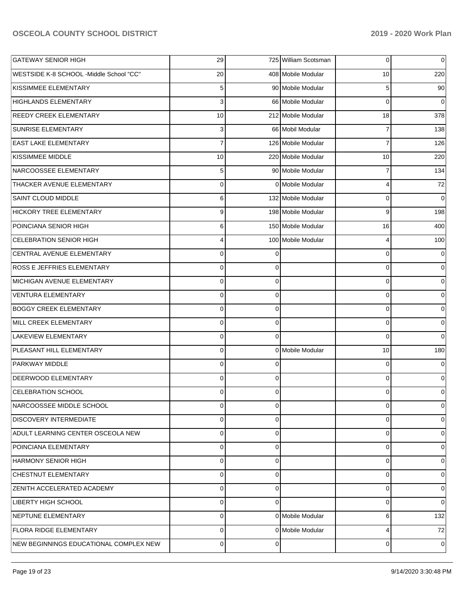| <b>GATEWAY SENIOR HIGH</b>              | 29             |          | 725 William Scotsman | 0              | $\overline{0}$ |
|-----------------------------------------|----------------|----------|----------------------|----------------|----------------|
| WESTSIDE K-8 SCHOOL -Middle School "CC" | 20             |          | 408 Mobile Modular   | 10             | 220            |
| KISSIMMEE ELEMENTARY                    | 5              |          | 90 Mobile Modular    | 5              | 90             |
| <b>HIGHLANDS ELEMENTARY</b>             | 3              |          | 66 Mobile Modular    | 0              | $\overline{0}$ |
| <b>REEDY CREEK ELEMENTARY</b>           | 10             |          | 212 Mobile Modular   | 18             | 378            |
| <b>SUNRISE ELEMENTARY</b>               | 3              |          | 66 Mobil Modular     | 7              | 138            |
| <b>EAST LAKE ELEMENTARY</b>             | $\overline{7}$ |          | 126 Mobile Modular   | $\overline{7}$ | 126            |
| KISSIMMEE MIDDLE                        | 10             |          | 220 Mobile Modular   | 10             | 220            |
| NARCOOSSEE ELEMENTARY                   | 5              |          | 90 Mobile Modular    | 7              | 134            |
| THACKER AVENUE ELEMENTARY               | $\overline{0}$ |          | 0 Mobile Modular     | 4              | 72             |
| <b>SAINT CLOUD MIDDLE</b>               | 6              |          | 132 Mobile Modular   | 0              | $\overline{0}$ |
| <b>HICKORY TREE ELEMENTARY</b>          | 9              |          | 198 Mobile Modular   | 9              | 198            |
| POINCIANA SENIOR HIGH                   | 6              |          | 150 Mobile Modular   | 16             | 400            |
| <b>CELEBRATION SENIOR HIGH</b>          | 4              |          | 100 Mobile Modular   | 4              | 100            |
| CENTRAL AVENUE ELEMENTARY               | $\mathbf 0$    | $\Omega$ |                      | 0              | $\overline{0}$ |
| ROSS E JEFFRIES ELEMENTARY              | $\mathbf 0$    | $\Omega$ |                      | 0              | $\overline{0}$ |
| MICHIGAN AVENUE ELEMENTARY              | $\mathbf 0$    | $\Omega$ |                      | 0              | $\overline{0}$ |
| <b>VENTURA ELEMENTARY</b>               | $\mathbf 0$    | $\Omega$ |                      | 0              | $\overline{0}$ |
| <b>BOGGY CREEK ELEMENTARY</b>           | $\overline{0}$ | $\Omega$ |                      | 0              | $\overline{0}$ |
| MILL CREEK ELEMENTARY                   | $\overline{0}$ | $\Omega$ |                      | 0              | $\overline{0}$ |
| <b>LAKEVIEW ELEMENTARY</b>              | $\overline{0}$ | $\Omega$ |                      | 0              | $\overline{0}$ |
| PLEASANT HILL ELEMENTARY                | $\overline{0}$ |          | 0 Mobile Modular     | 10             | 180            |
| <b>PARKWAY MIDDLE</b>                   | $\mathbf 0$    | $\Omega$ |                      | 0              | 0              |
| DEERWOOD ELEMENTARY                     | $\mathbf 0$    | $\Omega$ |                      | 0              | $\overline{0}$ |
| <b>CELEBRATION SCHOOL</b>               | 0              | $\Omega$ |                      | 0              | 0              |
| NARCOOSSEE MIDDLE SCHOOL                | 0              | $\Omega$ |                      | 0              | 0              |
| <b>DISCOVERY INTERMEDIATE</b>           | 0              | $\Omega$ |                      | 0              | $\overline{0}$ |
| ADULT LEARNING CENTER OSCEOLA NEW       | 0              | $\Omega$ |                      | 0              | $\overline{0}$ |
| POINCIANA ELEMENTARY                    | $\mathbf 0$    | $\Omega$ |                      | 0              | $\overline{0}$ |
| <b>HARMONY SENIOR HIGH</b>              | 0              | $\Omega$ |                      | 0              | $\overline{0}$ |
| <b>CHESTNUT ELEMENTARY</b>              | 0              | $\Omega$ |                      | 0              | $\overline{0}$ |
| <b>ZENITH ACCELERATED ACADEMY</b>       | 0              | $\Omega$ |                      | 0              | $\overline{0}$ |
| LIBERTY HIGH SCHOOL                     | $\mathbf 0$    | $\Omega$ |                      | 0              | $\overline{0}$ |
| NEPTUNE ELEMENTARY                      | 0              |          | 0 Mobile Modular     | 6              | 132            |
| <b>FLORA RIDGE ELEMENTARY</b>           | $\mathbf 0$    |          | 0 Mobile Modular     | 4              | 72             |
| NEW BEGINNINGS EDUCATIONAL COMPLEX NEW  | $\overline{0}$ | $\Omega$ |                      | 0              | 0              |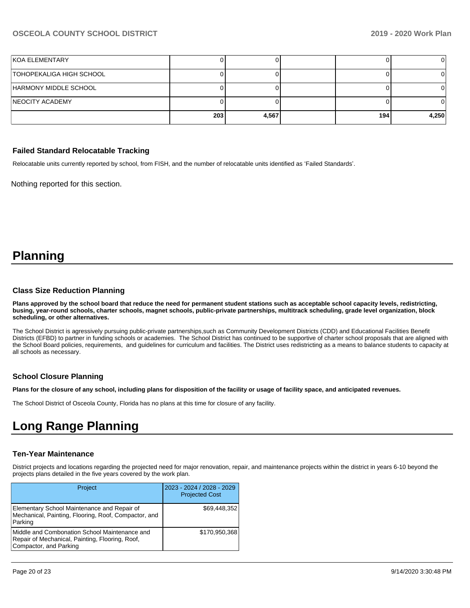| <b>KOA ELEMENTARY</b>    |     |       |      |       |
|--------------------------|-----|-------|------|-------|
| TOHOPEKALIGA HIGH SCHOOL |     |       |      |       |
| HARMONY MIDDLE SCHOOL    |     |       |      |       |
| <b>INEOCITY ACADEMY</b>  |     |       |      |       |
|                          | 203 | 4,567 | 1941 | 4,250 |

#### **Failed Standard Relocatable Tracking**

Relocatable units currently reported by school, from FISH, and the number of relocatable units identified as 'Failed Standards'.

Nothing reported for this section.

# **Planning**

#### **Class Size Reduction Planning**

**Plans approved by the school board that reduce the need for permanent student stations such as acceptable school capacity levels, redistricting, busing, year-round schools, charter schools, magnet schools, public-private partnerships, multitrack scheduling, grade level organization, block scheduling, or other alternatives.**

The School District is agressively pursuing public-private partnerships,such as Community Development Districts (CDD) and Educational Facilities Benefit Districts (EFBD) to partner in funding schools or academies. The School District has continued to be supportive of charter school proposals that are aligned with the School Board policies, requirements, and guidelines for curriculum and facilities. The District uses redistricting as a means to balance students to capacity at all schools as necessary.

#### **School Closure Planning**

**Plans for the closure of any school, including plans for disposition of the facility or usage of facility space, and anticipated revenues.** 

The School District of Osceola County, Florida has no plans at this time for closure of any facility.

# **Long Range Planning**

#### **Ten-Year Maintenance**

District projects and locations regarding the projected need for major renovation, repair, and maintenance projects within the district in years 6-10 beyond the projects plans detailed in the five years covered by the work plan.

| <b>Project</b>                                                                                                             | 2023 - 2024 / 2028 - 2029<br><b>Projected Cost</b> |
|----------------------------------------------------------------------------------------------------------------------------|----------------------------------------------------|
| Elementary School Maintenance and Repair of<br>Mechanical, Painting, Flooring, Roof, Compactor, and<br>Parking             | \$69,448,352                                       |
| Middle and Combonation School Maintenance and<br>Repair of Mechanical, Painting, Flooring, Roof,<br>Compactor, and Parking | \$170,950,368                                      |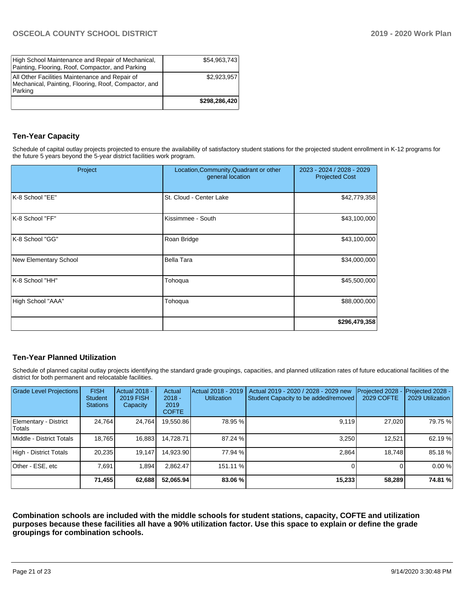| High School Maintenance and Repair of Mechanical,<br>Painting, Flooring, Roof, Compactor, and Parking             | \$54,963,743  |
|-------------------------------------------------------------------------------------------------------------------|---------------|
| All Other Facilities Maintenance and Repair of<br>Mechanical, Painting, Flooring, Roof, Compactor, and<br>Parking | \$2,923,957   |
|                                                                                                                   | \$298,286,420 |

#### **Ten-Year Capacity**

Schedule of capital outlay projects projected to ensure the availability of satisfactory student stations for the projected student enrollment in K-12 programs for the future 5 years beyond the 5-year district facilities work program.

| Project                      | Location, Community, Quadrant or other<br>general location | 2023 - 2024 / 2028 - 2029<br><b>Projected Cost</b> |
|------------------------------|------------------------------------------------------------|----------------------------------------------------|
| K-8 School "EE"              | St. Cloud - Center Lake                                    | \$42,779,358                                       |
| K-8 School "FF"              | Kissimmee - South                                          | \$43,100,000                                       |
| K-8 School "GG"              | Roan Bridge                                                | \$43,100,000                                       |
| <b>New Elementary School</b> | <b>Bella Tara</b>                                          | \$34,000,000                                       |
| K-8 School "HH"              | Tohoqua                                                    | \$45,500,000                                       |
| High School "AAA"            | Tohoqua                                                    | \$88,000,000                                       |
|                              |                                                            | \$296,479,358                                      |

#### **Ten-Year Planned Utilization**

Schedule of planned capital outlay projects identifying the standard grade groupings, capacities, and planned utilization rates of future educational facilities of the district for both permanent and relocatable facilities.

| Grade Level Projections         | <b>FISH</b><br><b>Student</b><br><b>Stations</b> | <b>Actual 2018 -</b><br><b>2019 FISH</b><br>Capacity | Actual<br>$2018 -$<br>2019<br><b>COFTE</b> | Actual 2018 - 2019<br><b>Utilization</b> | Actual 2019 - 2020 / 2028 - 2029 new<br>Student Capacity to be added/removed | Projected 2028<br>2029 COFTE | Projected 2028 -<br>2029 Utilization |
|---------------------------------|--------------------------------------------------|------------------------------------------------------|--------------------------------------------|------------------------------------------|------------------------------------------------------------------------------|------------------------------|--------------------------------------|
| Elementary - District<br>Totals | 24.764                                           | 24,764                                               | 19,550.86                                  | 78.95 %                                  | 9.119                                                                        | 27.020                       | 79.75 %                              |
| Middle - District Totals        | 18.765                                           | 16,883                                               | 14.728.71                                  | 87.24 %                                  | 3.250                                                                        | 12.521                       | 62.19%                               |
| High - District Totals          | 20.235                                           | 19.147                                               | 14.923.90                                  | 77.94 %                                  | 2.864                                                                        | 18.748                       | 85.18 %                              |
| Other - ESE, etc                | 7.691                                            | 1.894                                                | 2.862.47                                   | 151.11 %                                 |                                                                              |                              | 0.00 %                               |
|                                 | 71,455                                           | 62,688                                               | 52,065.94                                  | 83.06 %                                  | 15,233                                                                       | 58,289                       | 74.81 %                              |

**Combination schools are included with the middle schools for student stations, capacity, COFTE and utilization purposes because these facilities all have a 90% utilization factor. Use this space to explain or define the grade groupings for combination schools.**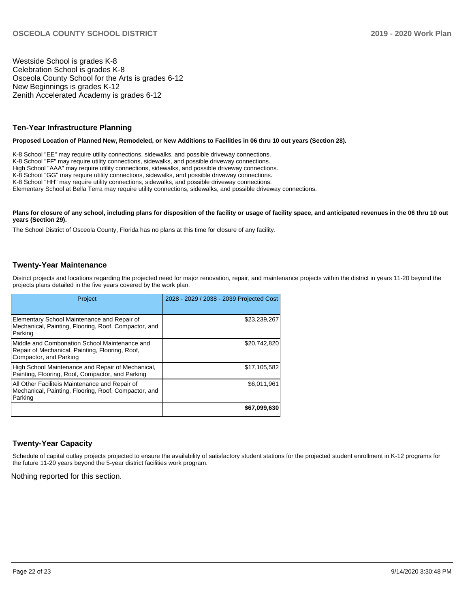Westside School is grades K-8 Celebration School is grades K-8 Osceola County School for the Arts is grades 6-12 New Beginnings is grades K-12 Zenith Accelerated Academy is grades 6-12

#### **Ten-Year Infrastructure Planning**

**Proposed Location of Planned New, Remodeled, or New Additions to Facilities in 06 thru 10 out years (Section 28).**

K-8 School "EE" may require utility connections, sidewalks, and possible driveway connections. K-8 School "FF" may require utility connections, sidewalks, and possible driveway connections. High School "AAA" may require utility connections, sidewalks, and possible driveway connections. K-8 School "GG" may require utility connections, sidewalks, and possible driveway connections. K-8 School "HH" may require utility connections, sidewalks, and possible driveway connections. Elementary School at Bella Terra may require utility connections, sidewalks, and possible driveway connections.

#### Plans for closure of any school, including plans for disposition of the facility or usage of facility space, and anticipated revenues in the 06 thru 10 out **years (Section 29).**

The School District of Osceola County, Florida has no plans at this time for closure of any facility.

#### **Twenty-Year Maintenance**

District projects and locations regarding the projected need for major renovation, repair, and maintenance projects within the district in years 11-20 beyond the projects plans detailed in the five years covered by the work plan.

| Project                                                                                                                    | 2028 - 2029 / 2038 - 2039 Projected Cost |
|----------------------------------------------------------------------------------------------------------------------------|------------------------------------------|
| Elementary School Maintenance and Repair of<br>Mechanical, Painting, Flooring, Roof, Compactor, and<br>Parking             | \$23,239,267                             |
| Middle and Combonation School Maintenance and<br>Repair of Mechanical, Painting, Flooring, Roof,<br>Compactor, and Parking | \$20,742,820                             |
| High School Maintenance and Repair of Mechanical,<br>Painting, Flooring, Roof, Compactor, and Parking                      | \$17.105.582                             |
| All Other Faciliteis Maintenance and Repair of<br>Mechanical, Painting, Flooring, Roof, Compactor, and<br>Parking          | \$6,011,961                              |
|                                                                                                                            | \$67,099,630                             |

#### **Twenty-Year Capacity**

Schedule of capital outlay projects projected to ensure the availability of satisfactory student stations for the projected student enrollment in K-12 programs for the future 11-20 years beyond the 5-year district facilities work program.

Nothing reported for this section.